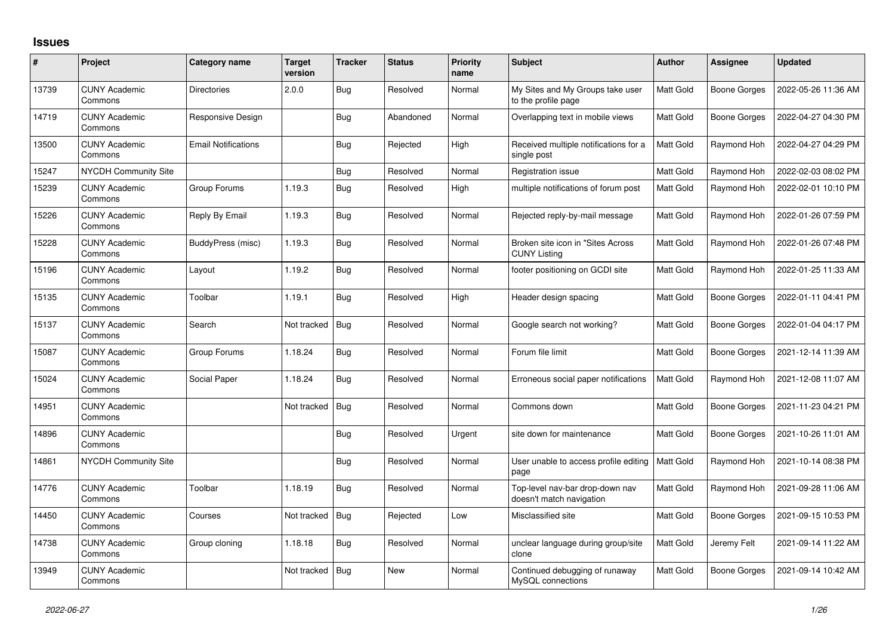## **Issues**

| #     | Project                         | Category name              | <b>Target</b><br>version | <b>Tracker</b> | <b>Status</b> | <b>Priority</b><br>name | <b>Subject</b>                                              | <b>Author</b>    | Assignee     | <b>Updated</b>      |
|-------|---------------------------------|----------------------------|--------------------------|----------------|---------------|-------------------------|-------------------------------------------------------------|------------------|--------------|---------------------|
| 13739 | <b>CUNY Academic</b><br>Commons | <b>Directories</b>         | 2.0.0                    | Bug            | Resolved      | Normal                  | My Sites and My Groups take user<br>to the profile page     | Matt Gold        | Boone Gorges | 2022-05-26 11:36 AM |
| 14719 | <b>CUNY Academic</b><br>Commons | <b>Responsive Design</b>   |                          | <b>Bug</b>     | Abandoned     | Normal                  | Overlapping text in mobile views                            | Matt Gold        | Boone Gorges | 2022-04-27 04:30 PM |
| 13500 | <b>CUNY Academic</b><br>Commons | <b>Email Notifications</b> |                          | Bug            | Rejected      | High                    | Received multiple notifications for a<br>single post        | <b>Matt Gold</b> | Raymond Hoh  | 2022-04-27 04:29 PM |
| 15247 | <b>NYCDH Community Site</b>     |                            |                          | Bug            | Resolved      | Normal                  | Registration issue                                          | Matt Gold        | Raymond Hoh  | 2022-02-03 08:02 PM |
| 15239 | <b>CUNY Academic</b><br>Commons | Group Forums               | 1.19.3                   | Bug            | Resolved      | High                    | multiple notifications of forum post                        | Matt Gold        | Raymond Hoh  | 2022-02-01 10:10 PM |
| 15226 | <b>CUNY Academic</b><br>Commons | Reply By Email             | 1.19.3                   | <b>Bug</b>     | Resolved      | Normal                  | Rejected reply-by-mail message                              | Matt Gold        | Raymond Hoh  | 2022-01-26 07:59 PM |
| 15228 | <b>CUNY Academic</b><br>Commons | BuddyPress (misc)          | 1.19.3                   | Bug            | Resolved      | Normal                  | Broken site icon in "Sites Across"<br><b>CUNY Listing</b>   | Matt Gold        | Raymond Hoh  | 2022-01-26 07:48 PM |
| 15196 | <b>CUNY Academic</b><br>Commons | Layout                     | 1.19.2                   | Bug            | Resolved      | Normal                  | footer positioning on GCDI site                             | Matt Gold        | Raymond Hoh  | 2022-01-25 11:33 AM |
| 15135 | <b>CUNY Academic</b><br>Commons | Toolbar                    | 1.19.1                   | Bug            | Resolved      | High                    | Header design spacing                                       | Matt Gold        | Boone Gorges | 2022-01-11 04:41 PM |
| 15137 | <b>CUNY Academic</b><br>Commons | Search                     | Not tracked              | Bug            | Resolved      | Normal                  | Google search not working?                                  | Matt Gold        | Boone Gorges | 2022-01-04 04:17 PM |
| 15087 | <b>CUNY Academic</b><br>Commons | Group Forums               | 1.18.24                  | <b>Bug</b>     | Resolved      | Normal                  | Forum file limit                                            | Matt Gold        | Boone Gorges | 2021-12-14 11:39 AM |
| 15024 | <b>CUNY Academic</b><br>Commons | Social Paper               | 1.18.24                  | Bug            | Resolved      | Normal                  | Erroneous social paper notifications                        | <b>Matt Gold</b> | Raymond Hoh  | 2021-12-08 11:07 AM |
| 14951 | <b>CUNY Academic</b><br>Commons |                            | Not tracked              | Bug            | Resolved      | Normal                  | Commons down                                                | Matt Gold        | Boone Gorges | 2021-11-23 04:21 PM |
| 14896 | <b>CUNY Academic</b><br>Commons |                            |                          | Bug            | Resolved      | Urgent                  | site down for maintenance                                   | Matt Gold        | Boone Gorges | 2021-10-26 11:01 AM |
| 14861 | <b>NYCDH Community Site</b>     |                            |                          | Bug            | Resolved      | Normal                  | User unable to access profile editing<br>page               | <b>Matt Gold</b> | Raymond Hoh  | 2021-10-14 08:38 PM |
| 14776 | <b>CUNY Academic</b><br>Commons | Toolbar                    | 1.18.19                  | <b>Bug</b>     | Resolved      | Normal                  | Top-level nav-bar drop-down nav<br>doesn't match navigation | Matt Gold        | Raymond Hoh  | 2021-09-28 11:06 AM |
| 14450 | <b>CUNY Academic</b><br>Commons | Courses                    | Not tracked              | Bug            | Rejected      | Low                     | Misclassified site                                          | Matt Gold        | Boone Gorges | 2021-09-15 10:53 PM |
| 14738 | <b>CUNY Academic</b><br>Commons | Group cloning              | 1.18.18                  | <b>Bug</b>     | Resolved      | Normal                  | unclear language during group/site<br>clone                 | Matt Gold        | Jeremy Felt  | 2021-09-14 11:22 AM |
| 13949 | <b>CUNY Academic</b><br>Commons |                            | Not tracked              | Bug            | <b>New</b>    | Normal                  | Continued debugging of runaway<br>MySQL connections         | Matt Gold        | Boone Gorges | 2021-09-14 10:42 AM |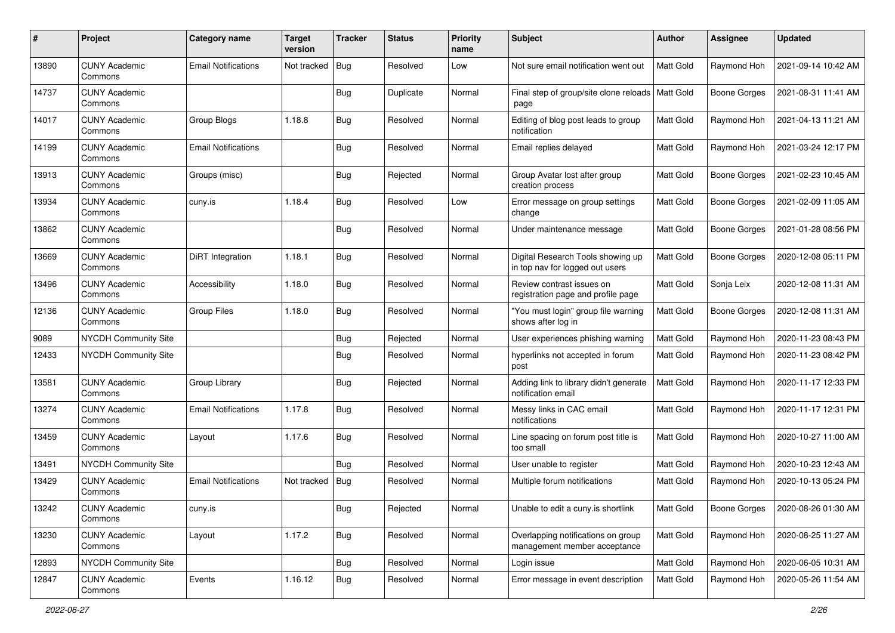| #     | Project                         | Category name              | <b>Target</b><br>version | <b>Tracker</b> | <b>Status</b> | <b>Priority</b><br>name | <b>Subject</b>                                                       | <b>Author</b>    | <b>Assignee</b>     | <b>Updated</b>      |
|-------|---------------------------------|----------------------------|--------------------------|----------------|---------------|-------------------------|----------------------------------------------------------------------|------------------|---------------------|---------------------|
| 13890 | <b>CUNY Academic</b><br>Commons | <b>Email Notifications</b> | Not tracked              | Bug            | Resolved      | Low                     | Not sure email notification went out                                 | Matt Gold        | Raymond Hoh         | 2021-09-14 10:42 AM |
| 14737 | <b>CUNY Academic</b><br>Commons |                            |                          | <b>Bug</b>     | Duplicate     | Normal                  | Final step of group/site clone reloads<br>page                       | Matt Gold        | <b>Boone Gorges</b> | 2021-08-31 11:41 AM |
| 14017 | <b>CUNY Academic</b><br>Commons | Group Blogs                | 1.18.8                   | <b>Bug</b>     | Resolved      | Normal                  | Editing of blog post leads to group<br>notification                  | Matt Gold        | Raymond Hoh         | 2021-04-13 11:21 AM |
| 14199 | <b>CUNY Academic</b><br>Commons | <b>Email Notifications</b> |                          | <b>Bug</b>     | Resolved      | Normal                  | Email replies delayed                                                | Matt Gold        | Raymond Hoh         | 2021-03-24 12:17 PM |
| 13913 | <b>CUNY Academic</b><br>Commons | Groups (misc)              |                          | <b>Bug</b>     | Rejected      | Normal                  | Group Avatar lost after group<br>creation process                    | <b>Matt Gold</b> | <b>Boone Gorges</b> | 2021-02-23 10:45 AM |
| 13934 | <b>CUNY Academic</b><br>Commons | cuny.is                    | 1.18.4                   | Bug            | Resolved      | Low                     | Error message on group settings<br>change                            | Matt Gold        | Boone Gorges        | 2021-02-09 11:05 AM |
| 13862 | <b>CUNY Academic</b><br>Commons |                            |                          | Bug            | Resolved      | Normal                  | Under maintenance message                                            | Matt Gold        | <b>Boone Gorges</b> | 2021-01-28 08:56 PM |
| 13669 | <b>CUNY Academic</b><br>Commons | DiRT Integration           | 1.18.1                   | Bug            | Resolved      | Normal                  | Digital Research Tools showing up<br>in top nav for logged out users | Matt Gold        | <b>Boone Gorges</b> | 2020-12-08 05:11 PM |
| 13496 | <b>CUNY Academic</b><br>Commons | Accessibility              | 1.18.0                   | Bug            | Resolved      | Normal                  | Review contrast issues on<br>registration page and profile page      | Matt Gold        | Sonja Leix          | 2020-12-08 11:31 AM |
| 12136 | <b>CUNY Academic</b><br>Commons | <b>Group Files</b>         | 1.18.0                   | <b>Bug</b>     | Resolved      | Normal                  | "You must login" group file warning<br>shows after log in            | Matt Gold        | <b>Boone Gorges</b> | 2020-12-08 11:31 AM |
| 9089  | NYCDH Community Site            |                            |                          | <b>Bug</b>     | Rejected      | Normal                  | User experiences phishing warning                                    | Matt Gold        | Raymond Hoh         | 2020-11-23 08:43 PM |
| 12433 | <b>NYCDH Community Site</b>     |                            |                          | <b>Bug</b>     | Resolved      | Normal                  | hyperlinks not accepted in forum<br>post                             | Matt Gold        | Raymond Hoh         | 2020-11-23 08:42 PM |
| 13581 | <b>CUNY Academic</b><br>Commons | Group Library              |                          | Bug            | Rejected      | Normal                  | Adding link to library didn't generate<br>notification email         | Matt Gold        | Raymond Hoh         | 2020-11-17 12:33 PM |
| 13274 | <b>CUNY Academic</b><br>Commons | <b>Email Notifications</b> | 1.17.8                   | Bug            | Resolved      | Normal                  | Messy links in CAC email<br>notifications                            | Matt Gold        | Raymond Hoh         | 2020-11-17 12:31 PM |
| 13459 | <b>CUNY Academic</b><br>Commons | Layout                     | 1.17.6                   | Bug            | Resolved      | Normal                  | Line spacing on forum post title is<br>too small                     | <b>Matt Gold</b> | Raymond Hoh         | 2020-10-27 11:00 AM |
| 13491 | <b>NYCDH Community Site</b>     |                            |                          | <b>Bug</b>     | Resolved      | Normal                  | User unable to register                                              | Matt Gold        | Raymond Hoh         | 2020-10-23 12:43 AM |
| 13429 | <b>CUNY Academic</b><br>Commons | <b>Email Notifications</b> | Not tracked              | Bug            | Resolved      | Normal                  | Multiple forum notifications                                         | Matt Gold        | Raymond Hoh         | 2020-10-13 05:24 PM |
| 13242 | <b>CUNY Academic</b><br>Commons | cuny.is                    |                          | Bug            | Rejected      | Normal                  | Unable to edit a cuny.is shortlink                                   | Matt Gold        | Boone Gorges        | 2020-08-26 01:30 AM |
| 13230 | <b>CUNY Academic</b><br>Commons | Layout                     | 1.17.2                   | Bug            | Resolved      | Normal                  | Overlapping notifications on group<br>management member acceptance   | Matt Gold        | Raymond Hoh         | 2020-08-25 11:27 AM |
| 12893 | NYCDH Community Site            |                            |                          | Bug            | Resolved      | Normal                  | Login issue                                                          | Matt Gold        | Raymond Hoh         | 2020-06-05 10:31 AM |
| 12847 | <b>CUNY Academic</b><br>Commons | Events                     | 1.16.12                  | Bug            | Resolved      | Normal                  | Error message in event description                                   | Matt Gold        | Raymond Hoh         | 2020-05-26 11:54 AM |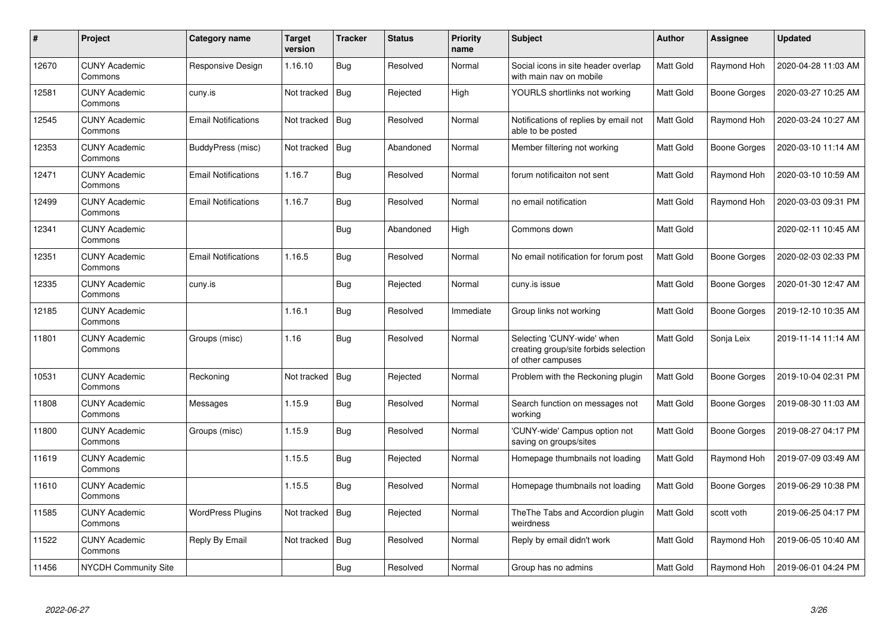| $\pmb{\#}$ | Project                         | Category name              | <b>Target</b><br>version | <b>Tracker</b> | <b>Status</b> | <b>Priority</b><br>name | <b>Subject</b>                                                                           | <b>Author</b>    | Assignee            | <b>Updated</b>      |
|------------|---------------------------------|----------------------------|--------------------------|----------------|---------------|-------------------------|------------------------------------------------------------------------------------------|------------------|---------------------|---------------------|
| 12670      | <b>CUNY Academic</b><br>Commons | Responsive Design          | 1.16.10                  | <b>Bug</b>     | Resolved      | Normal                  | Social icons in site header overlap<br>with main nav on mobile                           | Matt Gold        | Raymond Hoh         | 2020-04-28 11:03 AM |
| 12581      | <b>CUNY Academic</b><br>Commons | cuny.is                    | Not tracked              | Bug            | Rejected      | High                    | YOURLS shortlinks not working                                                            | Matt Gold        | <b>Boone Gorges</b> | 2020-03-27 10:25 AM |
| 12545      | <b>CUNY Academic</b><br>Commons | <b>Email Notifications</b> | Not tracked              | <b>Bug</b>     | Resolved      | Normal                  | Notifications of replies by email not<br>able to be posted                               | Matt Gold        | Raymond Hoh         | 2020-03-24 10:27 AM |
| 12353      | <b>CUNY Academic</b><br>Commons | BuddyPress (misc)          | Not tracked              | <b>Bug</b>     | Abandoned     | Normal                  | Member filtering not working                                                             | Matt Gold        | Boone Gorges        | 2020-03-10 11:14 AM |
| 12471      | <b>CUNY Academic</b><br>Commons | <b>Email Notifications</b> | 1.16.7                   | Bug            | Resolved      | Normal                  | forum notificaiton not sent                                                              | Matt Gold        | Raymond Hoh         | 2020-03-10 10:59 AM |
| 12499      | <b>CUNY Academic</b><br>Commons | <b>Email Notifications</b> | 1.16.7                   | <b>Bug</b>     | Resolved      | Normal                  | no email notification                                                                    | <b>Matt Gold</b> | Raymond Hoh         | 2020-03-03 09:31 PM |
| 12341      | <b>CUNY Academic</b><br>Commons |                            |                          | <b>Bug</b>     | Abandoned     | High                    | Commons down                                                                             | Matt Gold        |                     | 2020-02-11 10:45 AM |
| 12351      | <b>CUNY Academic</b><br>Commons | <b>Email Notifications</b> | 1.16.5                   | <b>Bug</b>     | Resolved      | Normal                  | No email notification for forum post                                                     | Matt Gold        | <b>Boone Gorges</b> | 2020-02-03 02:33 PM |
| 12335      | <b>CUNY Academic</b><br>Commons | cuny.is                    |                          | Bug            | Rejected      | Normal                  | cuny.is issue                                                                            | <b>Matt Gold</b> | <b>Boone Gorges</b> | 2020-01-30 12:47 AM |
| 12185      | <b>CUNY Academic</b><br>Commons |                            | 1.16.1                   | <b>Bug</b>     | Resolved      | Immediate               | Group links not working                                                                  | <b>Matt Gold</b> | Boone Gorges        | 2019-12-10 10:35 AM |
| 11801      | <b>CUNY Academic</b><br>Commons | Groups (misc)              | 1.16                     | <b>Bug</b>     | Resolved      | Normal                  | Selecting 'CUNY-wide' when<br>creating group/site forbids selection<br>of other campuses | Matt Gold        | Sonja Leix          | 2019-11-14 11:14 AM |
| 10531      | <b>CUNY Academic</b><br>Commons | Reckoning                  | Not tracked              | <b>Bug</b>     | Rejected      | Normal                  | Problem with the Reckoning plugin                                                        | Matt Gold        | <b>Boone Gorges</b> | 2019-10-04 02:31 PM |
| 11808      | <b>CUNY Academic</b><br>Commons | Messages                   | 1.15.9                   | <b>Bug</b>     | Resolved      | Normal                  | Search function on messages not<br>working                                               | Matt Gold        | <b>Boone Gorges</b> | 2019-08-30 11:03 AM |
| 11800      | <b>CUNY Academic</b><br>Commons | Groups (misc)              | 1.15.9                   | <b>Bug</b>     | Resolved      | Normal                  | 'CUNY-wide' Campus option not<br>saving on groups/sites                                  | Matt Gold        | <b>Boone Gorges</b> | 2019-08-27 04:17 PM |
| 11619      | <b>CUNY Academic</b><br>Commons |                            | 1.15.5                   | Bug            | Rejected      | Normal                  | Homepage thumbnails not loading                                                          | Matt Gold        | Raymond Hoh         | 2019-07-09 03:49 AM |
| 11610      | <b>CUNY Academic</b><br>Commons |                            | 1.15.5                   | Bug            | Resolved      | Normal                  | Homepage thumbnails not loading                                                          | Matt Gold        | Boone Gorges        | 2019-06-29 10:38 PM |
| 11585      | <b>CUNY Academic</b><br>Commons | WordPress Plugins          | Not tracked              | Bug            | Rejected      | Normal                  | The The Tabs and Accordion plugin<br>weirdness                                           | Matt Gold        | scott voth          | 2019-06-25 04:17 PM |
| 11522      | <b>CUNY Academic</b><br>Commons | Reply By Email             | Not tracked              | Bug            | Resolved      | Normal                  | Reply by email didn't work                                                               | Matt Gold        | Raymond Hoh         | 2019-06-05 10:40 AM |
| 11456      | NYCDH Community Site            |                            |                          | Bug            | Resolved      | Normal                  | Group has no admins                                                                      | Matt Gold        | Raymond Hoh         | 2019-06-01 04:24 PM |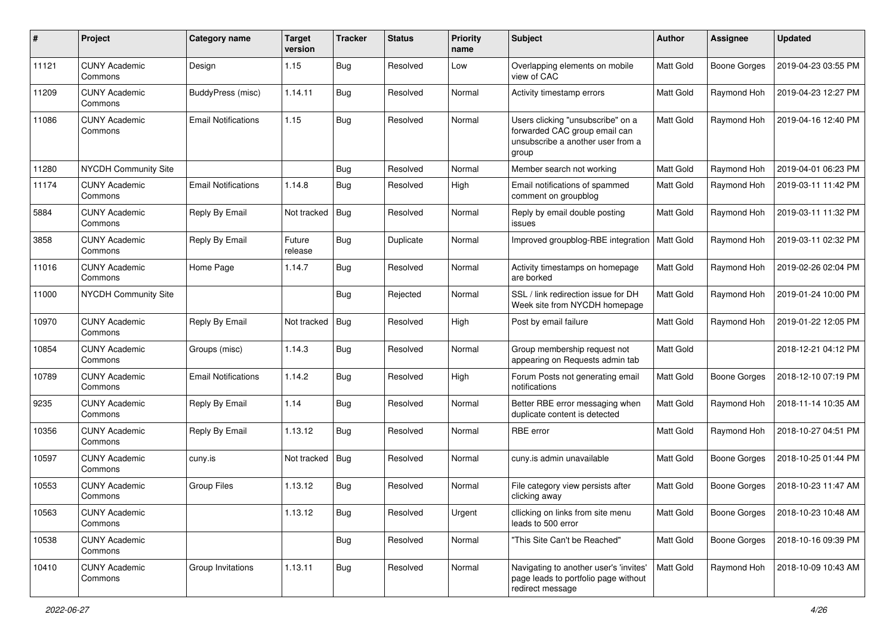| #     | Project                         | <b>Category name</b>       | <b>Target</b><br>version | <b>Tracker</b> | <b>Status</b> | <b>Priority</b><br>name | <b>Subject</b>                                                                                                   | Author           | Assignee            | <b>Updated</b>      |
|-------|---------------------------------|----------------------------|--------------------------|----------------|---------------|-------------------------|------------------------------------------------------------------------------------------------------------------|------------------|---------------------|---------------------|
| 11121 | <b>CUNY Academic</b><br>Commons | Design                     | 1.15                     | <b>Bug</b>     | Resolved      | Low                     | Overlapping elements on mobile<br>view of CAC                                                                    | Matt Gold        | <b>Boone Gorges</b> | 2019-04-23 03:55 PM |
| 11209 | <b>CUNY Academic</b><br>Commons | <b>BuddyPress (misc)</b>   | 1.14.11                  | <b>Bug</b>     | Resolved      | Normal                  | Activity timestamp errors                                                                                        | Matt Gold        | Raymond Hoh         | 2019-04-23 12:27 PM |
| 11086 | <b>CUNY Academic</b><br>Commons | <b>Email Notifications</b> | 1.15                     | Bug            | Resolved      | Normal                  | Users clicking "unsubscribe" on a<br>forwarded CAC group email can<br>unsubscribe a another user from a<br>group | <b>Matt Gold</b> | Raymond Hoh         | 2019-04-16 12:40 PM |
| 11280 | <b>NYCDH Community Site</b>     |                            |                          | <b>Bug</b>     | Resolved      | Normal                  | Member search not working                                                                                        | Matt Gold        | Raymond Hoh         | 2019-04-01 06:23 PM |
| 11174 | <b>CUNY Academic</b><br>Commons | <b>Email Notifications</b> | 1.14.8                   | <b>Bug</b>     | Resolved      | High                    | Email notifications of spammed<br>comment on groupblog                                                           | Matt Gold        | Raymond Hoh         | 2019-03-11 11:42 PM |
| 5884  | <b>CUNY Academic</b><br>Commons | Reply By Email             | Not tracked              | Bug            | Resolved      | Normal                  | Reply by email double posting<br>issues                                                                          | Matt Gold        | Raymond Hoh         | 2019-03-11 11:32 PM |
| 3858  | <b>CUNY Academic</b><br>Commons | Reply By Email             | Future<br>release        | Bug            | Duplicate     | Normal                  | Improved groupblog-RBE integration                                                                               | Matt Gold        | Raymond Hoh         | 2019-03-11 02:32 PM |
| 11016 | <b>CUNY Academic</b><br>Commons | Home Page                  | 1.14.7                   | Bug            | Resolved      | Normal                  | Activity timestamps on homepage<br>are borked                                                                    | Matt Gold        | Raymond Hoh         | 2019-02-26 02:04 PM |
| 11000 | <b>NYCDH Community Site</b>     |                            |                          | Bug            | Rejected      | Normal                  | SSL / link redirection issue for DH<br>Week site from NYCDH homepage                                             | Matt Gold        | Raymond Hoh         | 2019-01-24 10:00 PM |
| 10970 | <b>CUNY Academic</b><br>Commons | Reply By Email             | Not tracked              | Bug            | Resolved      | High                    | Post by email failure                                                                                            | Matt Gold        | Raymond Hoh         | 2019-01-22 12:05 PM |
| 10854 | <b>CUNY Academic</b><br>Commons | Groups (misc)              | 1.14.3                   | <b>Bug</b>     | Resolved      | Normal                  | Group membership request not<br>appearing on Requests admin tab                                                  | Matt Gold        |                     | 2018-12-21 04:12 PM |
| 10789 | <b>CUNY Academic</b><br>Commons | <b>Email Notifications</b> | 1.14.2                   | <b>Bug</b>     | Resolved      | High                    | Forum Posts not generating email<br>notifications                                                                | Matt Gold        | <b>Boone Gorges</b> | 2018-12-10 07:19 PM |
| 9235  | <b>CUNY Academic</b><br>Commons | Reply By Email             | 1.14                     | <b>Bug</b>     | Resolved      | Normal                  | Better RBE error messaging when<br>duplicate content is detected                                                 | <b>Matt Gold</b> | Raymond Hoh         | 2018-11-14 10:35 AM |
| 10356 | <b>CUNY Academic</b><br>Commons | Reply By Email             | 1.13.12                  | Bug            | Resolved      | Normal                  | RBE error                                                                                                        | Matt Gold        | Raymond Hoh         | 2018-10-27 04:51 PM |
| 10597 | <b>CUNY Academic</b><br>Commons | cuny.is                    | Not tracked              | Bug            | Resolved      | Normal                  | cuny.is admin unavailable                                                                                        | Matt Gold        | Boone Gorges        | 2018-10-25 01:44 PM |
| 10553 | <b>CUNY Academic</b><br>Commons | <b>Group Files</b>         | 1.13.12                  | Bug            | Resolved      | Normal                  | File category view persists after<br>clicking away                                                               | Matt Gold        | Boone Gorges        | 2018-10-23 11:47 AM |
| 10563 | <b>CUNY Academic</b><br>Commons |                            | 1.13.12                  | Bug            | Resolved      | Urgent                  | cllicking on links from site menu<br>leads to 500 error                                                          | Matt Gold        | Boone Gorges        | 2018-10-23 10:48 AM |
| 10538 | <b>CUNY Academic</b><br>Commons |                            |                          | Bug            | Resolved      | Normal                  | "This Site Can't be Reached"                                                                                     | Matt Gold        | <b>Boone Gorges</b> | 2018-10-16 09:39 PM |
| 10410 | <b>CUNY Academic</b><br>Commons | Group Invitations          | 1.13.11                  | Bug            | Resolved      | Normal                  | Navigating to another user's 'invites'<br>page leads to portfolio page without<br>redirect message               | Matt Gold        | Raymond Hoh         | 2018-10-09 10:43 AM |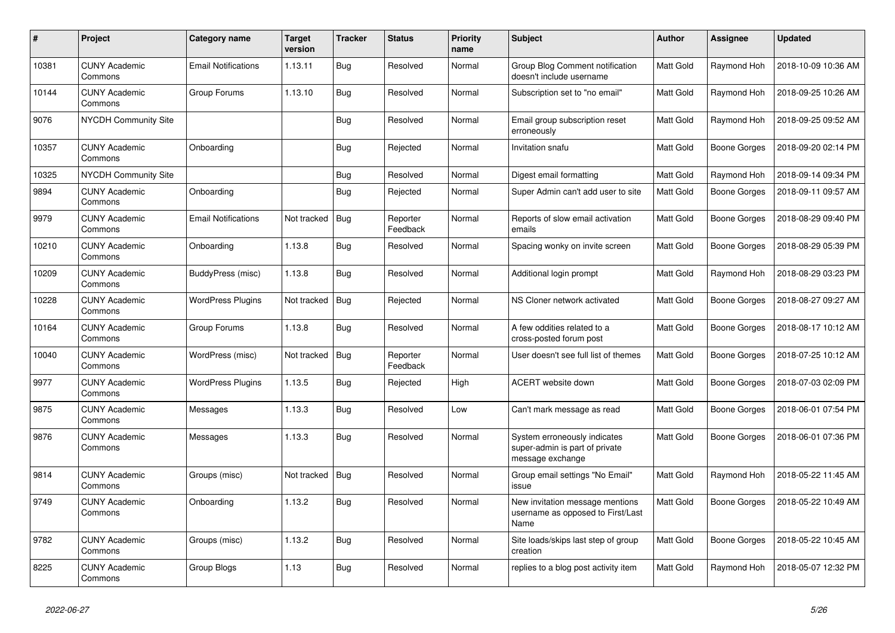| $\#$  | Project                         | Category name              | <b>Target</b><br>version | <b>Tracker</b> | <b>Status</b>        | <b>Priority</b><br>name | <b>Subject</b>                                                                     | <b>Author</b>    | Assignee     | <b>Updated</b>      |
|-------|---------------------------------|----------------------------|--------------------------|----------------|----------------------|-------------------------|------------------------------------------------------------------------------------|------------------|--------------|---------------------|
| 10381 | <b>CUNY Academic</b><br>Commons | <b>Email Notifications</b> | 1.13.11                  | Bug            | Resolved             | Normal                  | Group Blog Comment notification<br>doesn't include username                        | <b>Matt Gold</b> | Raymond Hoh  | 2018-10-09 10:36 AM |
| 10144 | <b>CUNY Academic</b><br>Commons | Group Forums               | 1.13.10                  | Bug            | Resolved             | Normal                  | Subscription set to "no email"                                                     | Matt Gold        | Raymond Hoh  | 2018-09-25 10:26 AM |
| 9076  | <b>NYCDH Community Site</b>     |                            |                          | <b>Bug</b>     | Resolved             | Normal                  | Email group subscription reset<br>erroneously                                      | Matt Gold        | Raymond Hoh  | 2018-09-25 09:52 AM |
| 10357 | <b>CUNY Academic</b><br>Commons | Onboarding                 |                          | <b>Bug</b>     | Rejected             | Normal                  | Invitation snafu                                                                   | Matt Gold        | Boone Gorges | 2018-09-20 02:14 PM |
| 10325 | <b>NYCDH Community Site</b>     |                            |                          | Bug            | Resolved             | Normal                  | Digest email formatting                                                            | Matt Gold        | Raymond Hoh  | 2018-09-14 09:34 PM |
| 9894  | <b>CUNY Academic</b><br>Commons | Onboarding                 |                          | Bug            | Rejected             | Normal                  | Super Admin can't add user to site                                                 | <b>Matt Gold</b> | Boone Gorges | 2018-09-11 09:57 AM |
| 9979  | <b>CUNY Academic</b><br>Commons | <b>Email Notifications</b> | Not tracked              | <b>Bug</b>     | Reporter<br>Feedback | Normal                  | Reports of slow email activation<br>emails                                         | Matt Gold        | Boone Gorges | 2018-08-29 09:40 PM |
| 10210 | <b>CUNY Academic</b><br>Commons | Onboarding                 | 1.13.8                   | Bug            | Resolved             | Normal                  | Spacing wonky on invite screen                                                     | Matt Gold        | Boone Gorges | 2018-08-29 05:39 PM |
| 10209 | <b>CUNY Academic</b><br>Commons | BuddyPress (misc)          | 1.13.8                   | Bug            | Resolved             | Normal                  | Additional login prompt                                                            | Matt Gold        | Raymond Hoh  | 2018-08-29 03:23 PM |
| 10228 | <b>CUNY Academic</b><br>Commons | <b>WordPress Plugins</b>   | Not tracked              | <b>Bug</b>     | Rejected             | Normal                  | NS Cloner network activated                                                        | Matt Gold        | Boone Gorges | 2018-08-27 09:27 AM |
| 10164 | <b>CUNY Academic</b><br>Commons | Group Forums               | 1.13.8                   | Bug            | Resolved             | Normal                  | A few oddities related to a<br>cross-posted forum post                             | <b>Matt Gold</b> | Boone Gorges | 2018-08-17 10:12 AM |
| 10040 | <b>CUNY Academic</b><br>Commons | WordPress (misc)           | Not tracked              | <b>Bug</b>     | Reporter<br>Feedback | Normal                  | User doesn't see full list of themes                                               | Matt Gold        | Boone Gorges | 2018-07-25 10:12 AM |
| 9977  | <b>CUNY Academic</b><br>Commons | <b>WordPress Plugins</b>   | 1.13.5                   | <b>Bug</b>     | Rejected             | High                    | <b>ACERT</b> website down                                                          | Matt Gold        | Boone Gorges | 2018-07-03 02:09 PM |
| 9875  | <b>CUNY Academic</b><br>Commons | Messages                   | 1.13.3                   | Bug            | Resolved             | Low                     | Can't mark message as read                                                         | Matt Gold        | Boone Gorges | 2018-06-01 07:54 PM |
| 9876  | <b>CUNY Academic</b><br>Commons | Messages                   | 1.13.3                   | <b>Bug</b>     | Resolved             | Normal                  | System erroneously indicates<br>super-admin is part of private<br>message exchange | Matt Gold        | Boone Gorges | 2018-06-01 07:36 PM |
| 9814  | <b>CUNY Academic</b><br>Commons | Groups (misc)              | Not tracked              | Bug            | Resolved             | Normal                  | Group email settings "No Email"<br>issue                                           | Matt Gold        | Raymond Hoh  | 2018-05-22 11:45 AM |
| 9749  | <b>CUNY Academic</b><br>Commons | Onboarding                 | 1.13.2                   | Bug            | Resolved             | Normal                  | New invitation message mentions<br>username as opposed to First/Last<br>Name       | Matt Gold        | Boone Gorges | 2018-05-22 10:49 AM |
| 9782  | <b>CUNY Academic</b><br>Commons | Groups (misc)              | 1.13.2                   | <b>Bug</b>     | Resolved             | Normal                  | Site loads/skips last step of group<br>creation                                    | <b>Matt Gold</b> | Boone Gorges | 2018-05-22 10:45 AM |
| 8225  | <b>CUNY Academic</b><br>Commons | Group Blogs                | 1.13                     | Bug            | Resolved             | Normal                  | replies to a blog post activity item                                               | Matt Gold        | Raymond Hoh  | 2018-05-07 12:32 PM |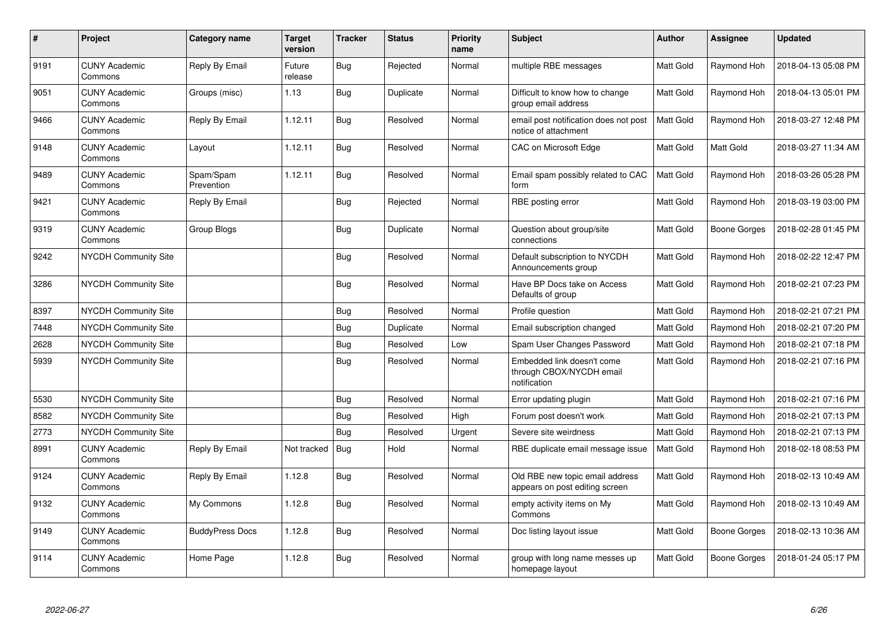| $\pmb{\#}$ | Project                         | Category name           | Target<br>version | <b>Tracker</b> | <b>Status</b> | <b>Priority</b><br>name | <b>Subject</b>                                                         | <b>Author</b>    | Assignee            | <b>Updated</b>      |
|------------|---------------------------------|-------------------------|-------------------|----------------|---------------|-------------------------|------------------------------------------------------------------------|------------------|---------------------|---------------------|
| 9191       | <b>CUNY Academic</b><br>Commons | Reply By Email          | Future<br>release | Bug            | Rejected      | Normal                  | multiple RBE messages                                                  | Matt Gold        | Raymond Hoh         | 2018-04-13 05:08 PM |
| 9051       | <b>CUNY Academic</b><br>Commons | Groups (misc)           | 1.13              | Bug            | Duplicate     | Normal                  | Difficult to know how to change<br>group email address                 | Matt Gold        | Raymond Hoh         | 2018-04-13 05:01 PM |
| 9466       | <b>CUNY Academic</b><br>Commons | Reply By Email          | 1.12.11           | <b>Bug</b>     | Resolved      | Normal                  | email post notification does not post<br>notice of attachment          | <b>Matt Gold</b> | Raymond Hoh         | 2018-03-27 12:48 PM |
| 9148       | <b>CUNY Academic</b><br>Commons | Layout                  | 1.12.11           | Bug            | Resolved      | Normal                  | CAC on Microsoft Edge                                                  | Matt Gold        | Matt Gold           | 2018-03-27 11:34 AM |
| 9489       | <b>CUNY Academic</b><br>Commons | Spam/Spam<br>Prevention | 1.12.11           | Bug            | Resolved      | Normal                  | Email spam possibly related to CAC<br>form                             | <b>Matt Gold</b> | Raymond Hoh         | 2018-03-26 05:28 PM |
| 9421       | <b>CUNY Academic</b><br>Commons | Reply By Email          |                   | Bug            | Rejected      | Normal                  | RBE posting error                                                      | Matt Gold        | Raymond Hoh         | 2018-03-19 03:00 PM |
| 9319       | <b>CUNY Academic</b><br>Commons | Group Blogs             |                   | <b>Bug</b>     | Duplicate     | Normal                  | Question about group/site<br>connections                               | Matt Gold        | <b>Boone Gorges</b> | 2018-02-28 01:45 PM |
| 9242       | NYCDH Community Site            |                         |                   | <b>Bug</b>     | Resolved      | Normal                  | Default subscription to NYCDH<br>Announcements group                   | Matt Gold        | Raymond Hoh         | 2018-02-22 12:47 PM |
| 3286       | <b>NYCDH Community Site</b>     |                         |                   | <b>Bug</b>     | Resolved      | Normal                  | Have BP Docs take on Access<br>Defaults of group                       | <b>Matt Gold</b> | Raymond Hoh         | 2018-02-21 07:23 PM |
| 8397       | <b>NYCDH Community Site</b>     |                         |                   | <b>Bug</b>     | Resolved      | Normal                  | Profile question                                                       | <b>Matt Gold</b> | Raymond Hoh         | 2018-02-21 07:21 PM |
| 7448       | NYCDH Community Site            |                         |                   | <b>Bug</b>     | Duplicate     | Normal                  | Email subscription changed                                             | Matt Gold        | Raymond Hoh         | 2018-02-21 07:20 PM |
| 2628       | <b>NYCDH Community Site</b>     |                         |                   | Bug            | Resolved      | Low                     | Spam User Changes Password                                             | Matt Gold        | Raymond Hoh         | 2018-02-21 07:18 PM |
| 5939       | NYCDH Community Site            |                         |                   | <b>Bug</b>     | Resolved      | Normal                  | Embedded link doesn't come<br>through CBOX/NYCDH email<br>notification | Matt Gold        | Raymond Hoh         | 2018-02-21 07:16 PM |
| 5530       | <b>NYCDH Community Site</b>     |                         |                   | <b>Bug</b>     | Resolved      | Normal                  | Error updating plugin                                                  | Matt Gold        | Raymond Hoh         | 2018-02-21 07:16 PM |
| 8582       | NYCDH Community Site            |                         |                   | <b>Bug</b>     | Resolved      | High                    | Forum post doesn't work                                                | Matt Gold        | Raymond Hoh         | 2018-02-21 07:13 PM |
| 2773       | <b>NYCDH Community Site</b>     |                         |                   | Bug            | Resolved      | Urgent                  | Severe site weirdness                                                  | Matt Gold        | Raymond Hoh         | 2018-02-21 07:13 PM |
| 8991       | <b>CUNY Academic</b><br>Commons | Reply By Email          | Not tracked       | <b>Bug</b>     | Hold          | Normal                  | RBE duplicate email message issue                                      | Matt Gold        | Raymond Hoh         | 2018-02-18 08:53 PM |
| 9124       | <b>CUNY Academic</b><br>Commons | Reply By Email          | 1.12.8            | <b>Bug</b>     | Resolved      | Normal                  | Old RBE new topic email address<br>appears on post editing screen      | Matt Gold        | Raymond Hoh         | 2018-02-13 10:49 AM |
| 9132       | <b>CUNY Academic</b><br>Commons | My Commons              | 1.12.8            | <b>Bug</b>     | Resolved      | Normal                  | empty activity items on My<br>Commons                                  | Matt Gold        | Raymond Hoh         | 2018-02-13 10:49 AM |
| 9149       | <b>CUNY Academic</b><br>Commons | <b>BuddyPress Docs</b>  | 1.12.8            | <b>Bug</b>     | Resolved      | Normal                  | Doc listing layout issue                                               | Matt Gold        | Boone Gorges        | 2018-02-13 10:36 AM |
| 9114       | <b>CUNY Academic</b><br>Commons | Home Page               | 1.12.8            | Bug            | Resolved      | Normal                  | group with long name messes up<br>homepage layout                      | Matt Gold        | Boone Gorges        | 2018-01-24 05:17 PM |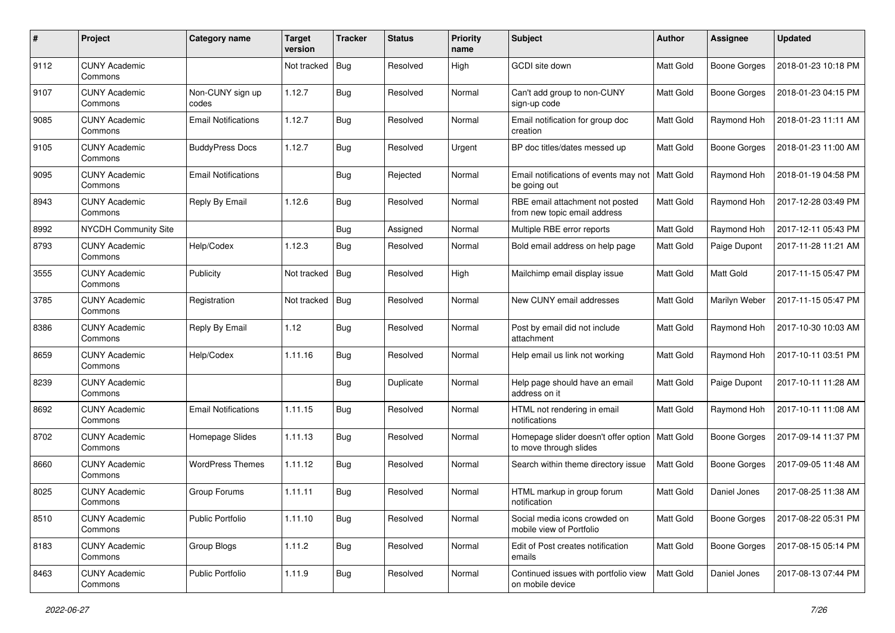| #    | Project                         | Category name              | <b>Target</b><br>version | <b>Tracker</b> | <b>Status</b> | <b>Priority</b><br>name | <b>Subject</b>                                                  | Author    | Assignee            | <b>Updated</b>      |
|------|---------------------------------|----------------------------|--------------------------|----------------|---------------|-------------------------|-----------------------------------------------------------------|-----------|---------------------|---------------------|
| 9112 | <b>CUNY Academic</b><br>Commons |                            | Not tracked              | Bug            | Resolved      | High                    | <b>GCDI</b> site down                                           | Matt Gold | <b>Boone Gorges</b> | 2018-01-23 10:18 PM |
| 9107 | <b>CUNY Academic</b><br>Commons | Non-CUNY sign up<br>codes  | 1.12.7                   | Bug            | Resolved      | Normal                  | Can't add group to non-CUNY<br>sign-up code                     | Matt Gold | <b>Boone Gorges</b> | 2018-01-23 04:15 PM |
| 9085 | <b>CUNY Academic</b><br>Commons | <b>Email Notifications</b> | 1.12.7                   | <b>Bug</b>     | Resolved      | Normal                  | Email notification for group doc<br>creation                    | Matt Gold | Raymond Hoh         | 2018-01-23 11:11 AM |
| 9105 | <b>CUNY Academic</b><br>Commons | <b>BuddyPress Docs</b>     | 1.12.7                   | Bug            | Resolved      | Urgent                  | BP doc titles/dates messed up                                   | Matt Gold | <b>Boone Gorges</b> | 2018-01-23 11:00 AM |
| 9095 | <b>CUNY Academic</b><br>Commons | <b>Email Notifications</b> |                          | <b>Bug</b>     | Rejected      | Normal                  | Email notifications of events may not<br>be going out           | Matt Gold | Raymond Hoh         | 2018-01-19 04:58 PM |
| 8943 | <b>CUNY Academic</b><br>Commons | Reply By Email             | 1.12.6                   | Bug            | Resolved      | Normal                  | RBE email attachment not posted<br>from new topic email address | Matt Gold | Raymond Hoh         | 2017-12-28 03:49 PM |
| 8992 | NYCDH Community Site            |                            |                          | Bug            | Assigned      | Normal                  | Multiple RBE error reports                                      | Matt Gold | Raymond Hoh         | 2017-12-11 05:43 PM |
| 8793 | <b>CUNY Academic</b><br>Commons | Help/Codex                 | 1.12.3                   | <b>Bug</b>     | Resolved      | Normal                  | Bold email address on help page                                 | Matt Gold | Paige Dupont        | 2017-11-28 11:21 AM |
| 3555 | CUNY Academic<br>Commons        | Publicity                  | Not tracked              | Bug            | Resolved      | High                    | Mailchimp email display issue                                   | Matt Gold | <b>Matt Gold</b>    | 2017-11-15 05:47 PM |
| 3785 | <b>CUNY Academic</b><br>Commons | Registration               | Not tracked              | Bug            | Resolved      | Normal                  | New CUNY email addresses                                        | Matt Gold | Marilyn Weber       | 2017-11-15 05:47 PM |
| 8386 | <b>CUNY Academic</b><br>Commons | Reply By Email             | 1.12                     | Bug            | Resolved      | Normal                  | Post by email did not include<br>attachment                     | Matt Gold | Raymond Hoh         | 2017-10-30 10:03 AM |
| 8659 | <b>CUNY Academic</b><br>Commons | Help/Codex                 | 1.11.16                  | Bug            | Resolved      | Normal                  | Help email us link not working                                  | Matt Gold | Raymond Hoh         | 2017-10-11 03:51 PM |
| 8239 | <b>CUNY Academic</b><br>Commons |                            |                          | Bug            | Duplicate     | Normal                  | Help page should have an email<br>address on it                 | Matt Gold | Paige Dupont        | 2017-10-11 11:28 AM |
| 8692 | <b>CUNY Academic</b><br>Commons | <b>Email Notifications</b> | 1.11.15                  | Bug            | Resolved      | Normal                  | HTML not rendering in email<br>notifications                    | Matt Gold | Raymond Hoh         | 2017-10-11 11:08 AM |
| 8702 | <b>CUNY Academic</b><br>Commons | Homepage Slides            | 1.11.13                  | <b>Bug</b>     | Resolved      | Normal                  | Homepage slider doesn't offer option<br>to move through slides  | Matt Gold | <b>Boone Gorges</b> | 2017-09-14 11:37 PM |
| 8660 | CUNY Academic<br>Commons        | <b>WordPress Themes</b>    | 1.11.12                  | <b>Bug</b>     | Resolved      | Normal                  | Search within theme directory issue                             | Matt Gold | <b>Boone Gorges</b> | 2017-09-05 11:48 AM |
| 8025 | <b>CUNY Academic</b><br>Commons | Group Forums               | 1.11.11                  | Bug            | Resolved      | Normal                  | HTML markup in group forum<br>notification                      | Matt Gold | Daniel Jones        | 2017-08-25 11:38 AM |
| 8510 | <b>CUNY Academic</b><br>Commons | <b>Public Portfolio</b>    | 1.11.10                  | <b>Bug</b>     | Resolved      | Normal                  | Social media icons crowded on<br>mobile view of Portfolio       | Matt Gold | Boone Gorges        | 2017-08-22 05:31 PM |
| 8183 | <b>CUNY Academic</b><br>Commons | Group Blogs                | 1.11.2                   | Bug            | Resolved      | Normal                  | Edit of Post creates notification<br>emails                     | Matt Gold | <b>Boone Gorges</b> | 2017-08-15 05:14 PM |
| 8463 | <b>CUNY Academic</b><br>Commons | <b>Public Portfolio</b>    | 1.11.9                   | Bug            | Resolved      | Normal                  | Continued issues with portfolio view<br>on mobile device        | Matt Gold | Daniel Jones        | 2017-08-13 07:44 PM |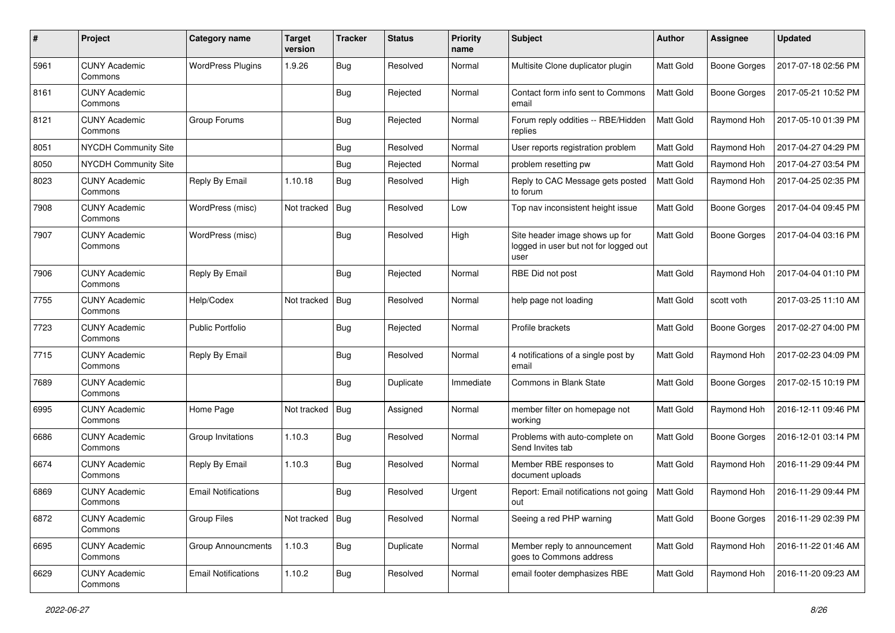| #    | Project                         | <b>Category name</b>       | <b>Target</b><br>version | <b>Tracker</b> | <b>Status</b> | <b>Priority</b><br>name | <b>Subject</b>                                                                  | Author           | <b>Assignee</b>     | <b>Updated</b>      |
|------|---------------------------------|----------------------------|--------------------------|----------------|---------------|-------------------------|---------------------------------------------------------------------------------|------------------|---------------------|---------------------|
| 5961 | <b>CUNY Academic</b><br>Commons | <b>WordPress Plugins</b>   | 1.9.26                   | Bug            | Resolved      | Normal                  | Multisite Clone duplicator plugin                                               | Matt Gold        | <b>Boone Gorges</b> | 2017-07-18 02:56 PM |
| 8161 | <b>CUNY Academic</b><br>Commons |                            |                          | Bug            | Rejected      | Normal                  | Contact form info sent to Commons<br>email                                      | Matt Gold        | <b>Boone Gorges</b> | 2017-05-21 10:52 PM |
| 8121 | <b>CUNY Academic</b><br>Commons | Group Forums               |                          | Bug            | Rejected      | Normal                  | Forum reply oddities -- RBE/Hidden<br>replies                                   | Matt Gold        | Raymond Hoh         | 2017-05-10 01:39 PM |
| 8051 | NYCDH Community Site            |                            |                          | Bug            | Resolved      | Normal                  | User reports registration problem                                               | Matt Gold        | Raymond Hoh         | 2017-04-27 04:29 PM |
| 8050 | NYCDH Community Site            |                            |                          | <b>Bug</b>     | Rejected      | Normal                  | problem resetting pw                                                            | Matt Gold        | Raymond Hoh         | 2017-04-27 03:54 PM |
| 8023 | <b>CUNY Academic</b><br>Commons | Reply By Email             | 1.10.18                  | <b>Bug</b>     | Resolved      | High                    | Reply to CAC Message gets posted<br>to forum                                    | Matt Gold        | Raymond Hoh         | 2017-04-25 02:35 PM |
| 7908 | <b>CUNY Academic</b><br>Commons | WordPress (misc)           | Not tracked              | Bug            | Resolved      | Low                     | Top nav inconsistent height issue                                               | Matt Gold        | Boone Gorges        | 2017-04-04 09:45 PM |
| 7907 | <b>CUNY Academic</b><br>Commons | WordPress (misc)           |                          | Bug            | Resolved      | High                    | Site header image shows up for<br>logged in user but not for logged out<br>user | Matt Gold        | <b>Boone Gorges</b> | 2017-04-04 03:16 PM |
| 7906 | <b>CUNY Academic</b><br>Commons | Reply By Email             |                          | Bug            | Rejected      | Normal                  | RBE Did not post                                                                | Matt Gold        | Raymond Hoh         | 2017-04-04 01:10 PM |
| 7755 | <b>CUNY Academic</b><br>Commons | Help/Codex                 | Not tracked              | Bug            | Resolved      | Normal                  | help page not loading                                                           | Matt Gold        | scott voth          | 2017-03-25 11:10 AM |
| 7723 | <b>CUNY Academic</b><br>Commons | <b>Public Portfolio</b>    |                          | Bug            | Rejected      | Normal                  | Profile brackets                                                                | Matt Gold        | <b>Boone Gorges</b> | 2017-02-27 04:00 PM |
| 7715 | <b>CUNY Academic</b><br>Commons | Reply By Email             |                          | <b>Bug</b>     | Resolved      | Normal                  | 4 notifications of a single post by<br>email                                    | Matt Gold        | Raymond Hoh         | 2017-02-23 04:09 PM |
| 7689 | <b>CUNY Academic</b><br>Commons |                            |                          | Bug            | Duplicate     | Immediate               | <b>Commons in Blank State</b>                                                   | Matt Gold        | <b>Boone Gorges</b> | 2017-02-15 10:19 PM |
| 6995 | <b>CUNY Academic</b><br>Commons | Home Page                  | Not tracked              | Bug            | Assigned      | Normal                  | member filter on homepage not<br>working                                        | Matt Gold        | Raymond Hoh         | 2016-12-11 09:46 PM |
| 6686 | <b>CUNY Academic</b><br>Commons | Group Invitations          | 1.10.3                   | <b>Bug</b>     | Resolved      | Normal                  | Problems with auto-complete on<br>Send Invites tab                              | Matt Gold        | <b>Boone Gorges</b> | 2016-12-01 03:14 PM |
| 6674 | CUNY Academic<br>Commons        | Reply By Email             | 1.10.3                   | <b>Bug</b>     | Resolved      | Normal                  | Member RBE responses to<br>document uploads                                     | Matt Gold        | Raymond Hoh         | 2016-11-29 09:44 PM |
| 6869 | <b>CUNY Academic</b><br>Commons | <b>Email Notifications</b> |                          | Bug            | Resolved      | Urgent                  | Report: Email notifications not going<br>out                                    | <b>Matt Gold</b> | Raymond Hoh         | 2016-11-29 09:44 PM |
| 6872 | <b>CUNY Academic</b><br>Commons | Group Files                | Not tracked   Bug        |                | Resolved      | Normal                  | Seeing a red PHP warning                                                        | Matt Gold        | <b>Boone Gorges</b> | 2016-11-29 02:39 PM |
| 6695 | <b>CUNY Academic</b><br>Commons | <b>Group Announcments</b>  | 1.10.3                   | Bug            | Duplicate     | Normal                  | Member reply to announcement<br>goes to Commons address                         | Matt Gold        | Raymond Hoh         | 2016-11-22 01:46 AM |
| 6629 | <b>CUNY Academic</b><br>Commons | <b>Email Notifications</b> | 1.10.2                   | Bug            | Resolved      | Normal                  | email footer demphasizes RBE                                                    | Matt Gold        | Raymond Hoh         | 2016-11-20 09:23 AM |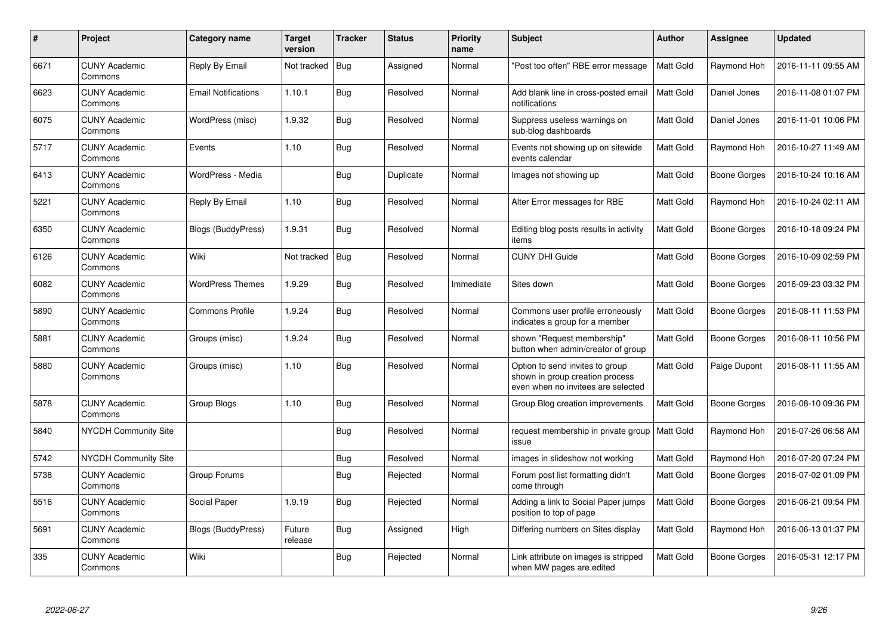| $\#$ | <b>Project</b>                  | Category name              | <b>Target</b><br>version | <b>Tracker</b> | <b>Status</b> | <b>Priority</b><br>name | Subject                                                                                                  | <b>Author</b>    | Assignee     | <b>Updated</b>      |
|------|---------------------------------|----------------------------|--------------------------|----------------|---------------|-------------------------|----------------------------------------------------------------------------------------------------------|------------------|--------------|---------------------|
| 6671 | <b>CUNY Academic</b><br>Commons | Reply By Email             | Not tracked              | Bug            | Assigned      | Normal                  | 'Post too often" RBE error message                                                                       | <b>Matt Gold</b> | Raymond Hoh  | 2016-11-11 09:55 AM |
| 6623 | <b>CUNY Academic</b><br>Commons | <b>Email Notifications</b> | 1.10.1                   | <b>Bug</b>     | Resolved      | Normal                  | Add blank line in cross-posted email<br>notifications                                                    | <b>Matt Gold</b> | Daniel Jones | 2016-11-08 01:07 PM |
| 6075 | <b>CUNY Academic</b><br>Commons | WordPress (misc)           | 1.9.32                   | Bug            | Resolved      | Normal                  | Suppress useless warnings on<br>sub-blog dashboards                                                      | Matt Gold        | Daniel Jones | 2016-11-01 10:06 PM |
| 5717 | <b>CUNY Academic</b><br>Commons | Events                     | 1.10                     | Bug            | Resolved      | Normal                  | Events not showing up on sitewide<br>events calendar                                                     | Matt Gold        | Raymond Hoh  | 2016-10-27 11:49 AM |
| 6413 | <b>CUNY Academic</b><br>Commons | WordPress - Media          |                          | <b>Bug</b>     | Duplicate     | Normal                  | Images not showing up                                                                                    | Matt Gold        | Boone Gorges | 2016-10-24 10:16 AM |
| 5221 | <b>CUNY Academic</b><br>Commons | Reply By Email             | 1.10                     | Bug            | Resolved      | Normal                  | Alter Error messages for RBE                                                                             | Matt Gold        | Raymond Hoh  | 2016-10-24 02:11 AM |
| 6350 | <b>CUNY Academic</b><br>Commons | <b>Blogs (BuddyPress)</b>  | 1.9.31                   | Bug            | Resolved      | Normal                  | Editing blog posts results in activity<br>items                                                          | <b>Matt Gold</b> | Boone Gorges | 2016-10-18 09:24 PM |
| 6126 | <b>CUNY Academic</b><br>Commons | Wiki                       | Not tracked              | Bug            | Resolved      | Normal                  | <b>CUNY DHI Guide</b>                                                                                    | Matt Gold        | Boone Gorges | 2016-10-09 02:59 PM |
| 6082 | <b>CUNY Academic</b><br>Commons | <b>WordPress Themes</b>    | 1.9.29                   | Bug            | Resolved      | Immediate               | Sites down                                                                                               | <b>Matt Gold</b> | Boone Gorges | 2016-09-23 03:32 PM |
| 5890 | <b>CUNY Academic</b><br>Commons | Commons Profile            | 1.9.24                   | <b>Bug</b>     | Resolved      | Normal                  | Commons user profile erroneously<br>indicates a group for a member                                       | Matt Gold        | Boone Gorges | 2016-08-11 11:53 PM |
| 5881 | <b>CUNY Academic</b><br>Commons | Groups (misc)              | 1.9.24                   | <b>Bug</b>     | Resolved      | Normal                  | shown "Request membership"<br>button when admin/creator of group                                         | <b>Matt Gold</b> | Boone Gorges | 2016-08-11 10:56 PM |
| 5880 | <b>CUNY Academic</b><br>Commons | Groups (misc)              | 1.10                     | Bug            | Resolved      | Normal                  | Option to send invites to group<br>shown in group creation process<br>even when no invitees are selected | Matt Gold        | Paige Dupont | 2016-08-11 11:55 AM |
| 5878 | <b>CUNY Academic</b><br>Commons | Group Blogs                | 1.10                     | Bug            | Resolved      | Normal                  | Group Blog creation improvements                                                                         | <b>Matt Gold</b> | Boone Gorges | 2016-08-10 09:36 PM |
| 5840 | <b>NYCDH Community Site</b>     |                            |                          | Bug            | Resolved      | Normal                  | request membership in private group<br>issue                                                             | <b>Matt Gold</b> | Raymond Hoh  | 2016-07-26 06:58 AM |
| 5742 | <b>NYCDH Community Site</b>     |                            |                          | <b>Bug</b>     | Resolved      | Normal                  | images in slideshow not working                                                                          | Matt Gold        | Raymond Hoh  | 2016-07-20 07:24 PM |
| 5738 | <b>CUNY Academic</b><br>Commons | Group Forums               |                          | Bug            | Rejected      | Normal                  | Forum post list formatting didn't<br>come through                                                        | Matt Gold        | Boone Gorges | 2016-07-02 01:09 PM |
| 5516 | <b>CUNY Academic</b><br>Commons | Social Paper               | 1.9.19                   | <b>Bug</b>     | Rejected      | Normal                  | Adding a link to Social Paper jumps<br>position to top of page                                           | <b>Matt Gold</b> | Boone Gorges | 2016-06-21 09:54 PM |
| 5691 | <b>CUNY Academic</b><br>Commons | Blogs (BuddyPress)         | Future<br>release        | Bug            | Assigned      | High                    | Differing numbers on Sites display                                                                       | Matt Gold        | Raymond Hoh  | 2016-06-13 01:37 PM |
| 335  | <b>CUNY Academic</b><br>Commons | Wiki                       |                          | Bug            | Rejected      | Normal                  | Link attribute on images is stripped<br>when MW pages are edited                                         | Matt Gold        | Boone Gorges | 2016-05-31 12:17 PM |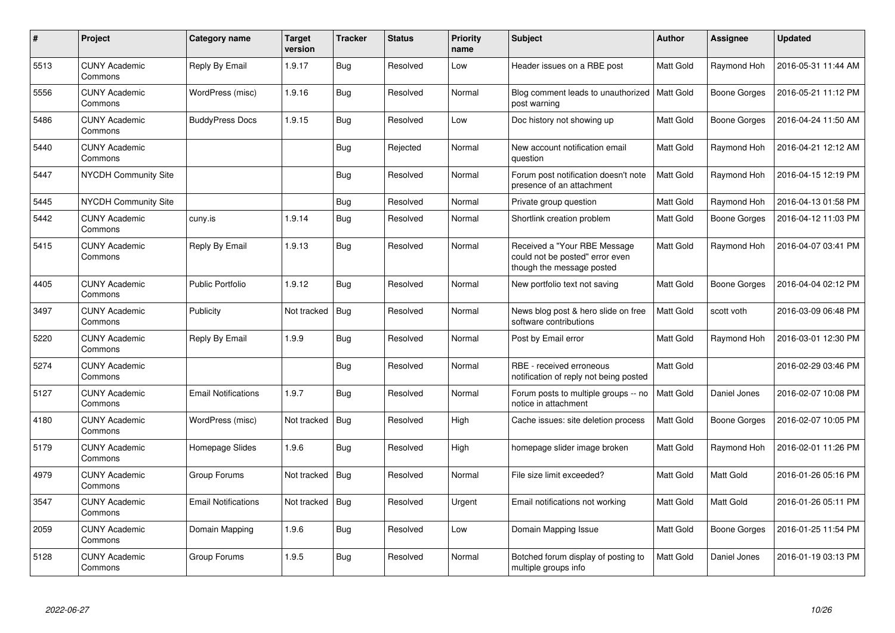| $\#$ | Project                         | Category name              | <b>Target</b><br>version | <b>Tracker</b> | <b>Status</b> | <b>Priority</b><br>name | Subject                                                                                      | <b>Author</b>    | Assignee            | <b>Updated</b>      |
|------|---------------------------------|----------------------------|--------------------------|----------------|---------------|-------------------------|----------------------------------------------------------------------------------------------|------------------|---------------------|---------------------|
| 5513 | <b>CUNY Academic</b><br>Commons | Reply By Email             | 1.9.17                   | Bug            | Resolved      | Low                     | Header issues on a RBE post                                                                  | Matt Gold        | Raymond Hoh         | 2016-05-31 11:44 AM |
| 5556 | <b>CUNY Academic</b><br>Commons | WordPress (misc)           | 1.9.16                   | Bug            | Resolved      | Normal                  | Blog comment leads to unauthorized<br>post warning                                           | Matt Gold        | Boone Gorges        | 2016-05-21 11:12 PM |
| 5486 | <b>CUNY Academic</b><br>Commons | <b>BuddyPress Docs</b>     | 1.9.15                   | <b>Bug</b>     | Resolved      | Low                     | Doc history not showing up                                                                   | <b>Matt Gold</b> | <b>Boone Gorges</b> | 2016-04-24 11:50 AM |
| 5440 | <b>CUNY Academic</b><br>Commons |                            |                          | <b>Bug</b>     | Rejected      | Normal                  | New account notification email<br>question                                                   | Matt Gold        | Raymond Hoh         | 2016-04-21 12:12 AM |
| 5447 | <b>NYCDH Community Site</b>     |                            |                          | <b>Bug</b>     | Resolved      | Normal                  | Forum post notification doesn't note<br>presence of an attachment                            | <b>Matt Gold</b> | Raymond Hoh         | 2016-04-15 12:19 PM |
| 5445 | <b>NYCDH Community Site</b>     |                            |                          | <b>Bug</b>     | Resolved      | Normal                  | Private group question                                                                       | Matt Gold        | Raymond Hoh         | 2016-04-13 01:58 PM |
| 5442 | <b>CUNY Academic</b><br>Commons | cuny.is                    | 1.9.14                   | <b>Bug</b>     | Resolved      | Normal                  | Shortlink creation problem                                                                   | Matt Gold        | Boone Gorges        | 2016-04-12 11:03 PM |
| 5415 | <b>CUNY Academic</b><br>Commons | Reply By Email             | 1.9.13                   | Bug            | Resolved      | Normal                  | Received a "Your RBE Message<br>could not be posted" error even<br>though the message posted | Matt Gold        | Raymond Hoh         | 2016-04-07 03:41 PM |
| 4405 | <b>CUNY Academic</b><br>Commons | <b>Public Portfolio</b>    | 1.9.12                   | Bug            | Resolved      | Normal                  | New portfolio text not saving                                                                | Matt Gold        | Boone Gorges        | 2016-04-04 02:12 PM |
| 3497 | <b>CUNY Academic</b><br>Commons | Publicity                  | Not tracked              | Bug            | Resolved      | Normal                  | News blog post & hero slide on free<br>software contributions                                | <b>Matt Gold</b> | scott voth          | 2016-03-09 06:48 PM |
| 5220 | <b>CUNY Academic</b><br>Commons | Reply By Email             | 1.9.9                    | Bug            | Resolved      | Normal                  | Post by Email error                                                                          | Matt Gold        | Raymond Hoh         | 2016-03-01 12:30 PM |
| 5274 | <b>CUNY Academic</b><br>Commons |                            |                          | Bug            | Resolved      | Normal                  | RBE - received erroneous<br>notification of reply not being posted                           | <b>Matt Gold</b> |                     | 2016-02-29 03:46 PM |
| 5127 | <b>CUNY Academic</b><br>Commons | <b>Email Notifications</b> | 1.9.7                    | Bug            | Resolved      | Normal                  | Forum posts to multiple groups -- no<br>notice in attachment                                 | Matt Gold        | Daniel Jones        | 2016-02-07 10:08 PM |
| 4180 | <b>CUNY Academic</b><br>Commons | WordPress (misc)           | Not tracked              | <b>Bug</b>     | Resolved      | High                    | Cache issues: site deletion process                                                          | Matt Gold        | Boone Gorges        | 2016-02-07 10:05 PM |
| 5179 | <b>CUNY Academic</b><br>Commons | Homepage Slides            | 1.9.6                    | Bug            | Resolved      | High                    | homepage slider image broken                                                                 | Matt Gold        | Raymond Hoh         | 2016-02-01 11:26 PM |
| 4979 | <b>CUNY Academic</b><br>Commons | Group Forums               | Not tracked              | <b>Bug</b>     | Resolved      | Normal                  | File size limit exceeded?                                                                    | Matt Gold        | <b>Matt Gold</b>    | 2016-01-26 05:16 PM |
| 3547 | <b>CUNY Academic</b><br>Commons | <b>Email Notifications</b> | Not tracked              | Bug            | Resolved      | Urgent                  | Email notifications not working                                                              | Matt Gold        | Matt Gold           | 2016-01-26 05:11 PM |
| 2059 | <b>CUNY Academic</b><br>Commons | Domain Mapping             | 1.9.6                    | Bug            | Resolved      | Low                     | Domain Mapping Issue                                                                         | Matt Gold        | Boone Gorges        | 2016-01-25 11:54 PM |
| 5128 | <b>CUNY Academic</b><br>Commons | Group Forums               | 1.9.5                    | Bug            | Resolved      | Normal                  | Botched forum display of posting to<br>multiple groups info                                  | Matt Gold        | Daniel Jones        | 2016-01-19 03:13 PM |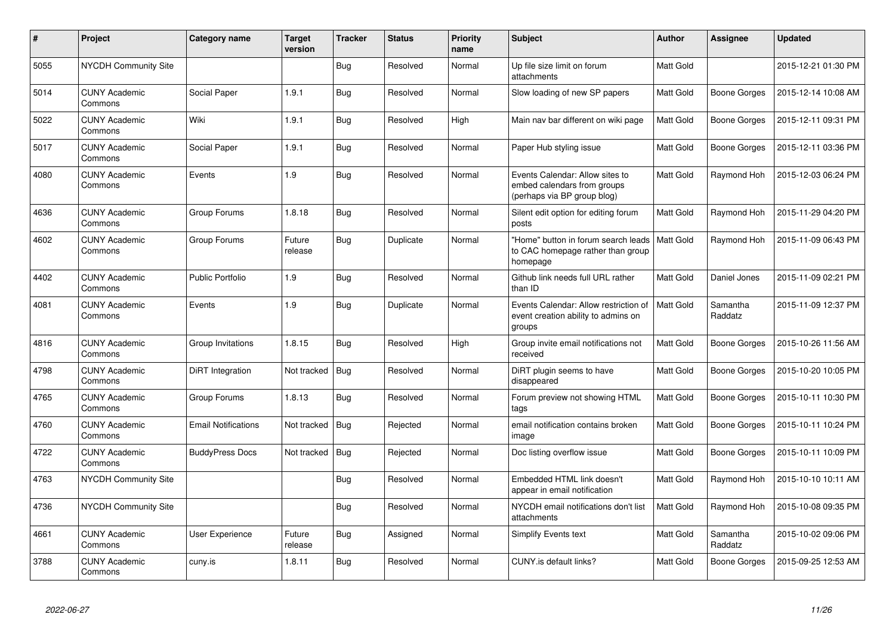| #    | Project                         | Category name              | <b>Target</b><br>version | <b>Tracker</b> | <b>Status</b> | <b>Priority</b><br>name | <b>Subject</b>                                                                                | <b>Author</b>    | Assignee            | <b>Updated</b>      |
|------|---------------------------------|----------------------------|--------------------------|----------------|---------------|-------------------------|-----------------------------------------------------------------------------------------------|------------------|---------------------|---------------------|
| 5055 | NYCDH Community Site            |                            |                          | Bug            | Resolved      | Normal                  | Up file size limit on forum<br>attachments                                                    | Matt Gold        |                     | 2015-12-21 01:30 PM |
| 5014 | <b>CUNY Academic</b><br>Commons | Social Paper               | 1.9.1                    | Bug            | Resolved      | Normal                  | Slow loading of new SP papers                                                                 | Matt Gold        | Boone Gorges        | 2015-12-14 10:08 AM |
| 5022 | <b>CUNY Academic</b><br>Commons | Wiki                       | 1.9.1                    | Bug            | Resolved      | High                    | Main nav bar different on wiki page                                                           | Matt Gold        | Boone Gorges        | 2015-12-11 09:31 PM |
| 5017 | <b>CUNY Academic</b><br>Commons | Social Paper               | 1.9.1                    | Bug            | Resolved      | Normal                  | Paper Hub styling issue                                                                       | Matt Gold        | Boone Gorges        | 2015-12-11 03:36 PM |
| 4080 | <b>CUNY Academic</b><br>Commons | Events                     | 1.9                      | Bug            | Resolved      | Normal                  | Events Calendar: Allow sites to<br>embed calendars from groups<br>(perhaps via BP group blog) | Matt Gold        | Raymond Hoh         | 2015-12-03 06:24 PM |
| 4636 | <b>CUNY Academic</b><br>Commons | Group Forums               | 1.8.18                   | Bug            | Resolved      | Normal                  | Silent edit option for editing forum<br>posts                                                 | Matt Gold        | Raymond Hoh         | 2015-11-29 04:20 PM |
| 4602 | <b>CUNY Academic</b><br>Commons | Group Forums               | Future<br>release        | Bug            | Duplicate     | Normal                  | "Home" button in forum search leads<br>to CAC homepage rather than group<br>homepage          | <b>Matt Gold</b> | Raymond Hoh         | 2015-11-09 06:43 PM |
| 4402 | <b>CUNY Academic</b><br>Commons | <b>Public Portfolio</b>    | 1.9                      | <b>Bug</b>     | Resolved      | Normal                  | Github link needs full URL rather<br>than ID                                                  | Matt Gold        | Daniel Jones        | 2015-11-09 02:21 PM |
| 4081 | <b>CUNY Academic</b><br>Commons | Events                     | 1.9                      | Bug            | Duplicate     | Normal                  | Events Calendar: Allow restriction of<br>event creation ability to admins on<br>groups        | <b>Matt Gold</b> | Samantha<br>Raddatz | 2015-11-09 12:37 PM |
| 4816 | <b>CUNY Academic</b><br>Commons | Group Invitations          | 1.8.15                   | Bug            | Resolved      | High                    | Group invite email notifications not<br>received                                              | <b>Matt Gold</b> | Boone Gorges        | 2015-10-26 11:56 AM |
| 4798 | <b>CUNY Academic</b><br>Commons | DiRT Integration           | Not tracked              | Bug            | Resolved      | Normal                  | DiRT plugin seems to have<br>disappeared                                                      | Matt Gold        | Boone Gorges        | 2015-10-20 10:05 PM |
| 4765 | <b>CUNY Academic</b><br>Commons | Group Forums               | 1.8.13                   | Bug            | Resolved      | Normal                  | Forum preview not showing HTML<br>tags                                                        | Matt Gold        | Boone Gorges        | 2015-10-11 10:30 PM |
| 4760 | <b>CUNY Academic</b><br>Commons | <b>Email Notifications</b> | Not tracked              | <b>Bug</b>     | Rejected      | Normal                  | email notification contains broken<br>image                                                   | Matt Gold        | Boone Gorges        | 2015-10-11 10:24 PM |
| 4722 | <b>CUNY Academic</b><br>Commons | <b>BuddyPress Docs</b>     | Not tracked              | Bug            | Rejected      | Normal                  | Doc listing overflow issue                                                                    | Matt Gold        | Boone Gorges        | 2015-10-11 10:09 PM |
| 4763 | <b>NYCDH Community Site</b>     |                            |                          | <b>Bug</b>     | Resolved      | Normal                  | Embedded HTML link doesn't<br>appear in email notification                                    | <b>Matt Gold</b> | Raymond Hoh         | 2015-10-10 10:11 AM |
| 4736 | NYCDH Community Site            |                            |                          | <b>Bug</b>     | Resolved      | Normal                  | NYCDH email notifications don't list<br>attachments                                           | Matt Gold        | Raymond Hoh         | 2015-10-08 09:35 PM |
| 4661 | <b>CUNY Academic</b><br>Commons | User Experience            | Future<br>release        | Bug            | Assigned      | Normal                  | <b>Simplify Events text</b>                                                                   | Matt Gold        | Samantha<br>Raddatz | 2015-10-02 09:06 PM |
| 3788 | <b>CUNY Academic</b><br>Commons | cuny.is                    | 1.8.11                   | <b>Bug</b>     | Resolved      | Normal                  | CUNY.is default links?                                                                        | Matt Gold        | Boone Gorges        | 2015-09-25 12:53 AM |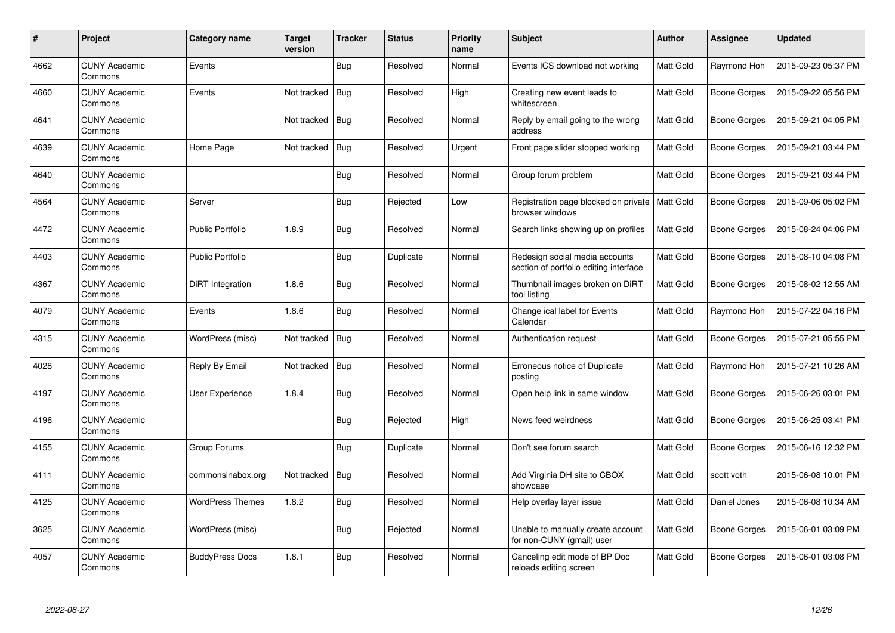| $\#$ | <b>Project</b>                  | Category name           | <b>Target</b><br>version | <b>Tracker</b> | <b>Status</b> | <b>Priority</b><br>name | Subject                                                                  | <b>Author</b>    | Assignee            | <b>Updated</b>      |
|------|---------------------------------|-------------------------|--------------------------|----------------|---------------|-------------------------|--------------------------------------------------------------------------|------------------|---------------------|---------------------|
| 4662 | <b>CUNY Academic</b><br>Commons | Events                  |                          | Bug            | Resolved      | Normal                  | Events ICS download not working                                          | Matt Gold        | Raymond Hoh         | 2015-09-23 05:37 PM |
| 4660 | <b>CUNY Academic</b><br>Commons | Events                  | Not tracked              | Bug            | Resolved      | High                    | Creating new event leads to<br>whitescreen                               | Matt Gold        | Boone Gorges        | 2015-09-22 05:56 PM |
| 4641 | <b>CUNY Academic</b><br>Commons |                         | Not tracked              | Bug            | Resolved      | Normal                  | Reply by email going to the wrong<br>address                             | Matt Gold        | Boone Gorges        | 2015-09-21 04:05 PM |
| 4639 | <b>CUNY Academic</b><br>Commons | Home Page               | Not tracked              | Bug            | Resolved      | Urgent                  | Front page slider stopped working                                        | Matt Gold        | Boone Gorges        | 2015-09-21 03:44 PM |
| 4640 | <b>CUNY Academic</b><br>Commons |                         |                          | <b>Bug</b>     | Resolved      | Normal                  | Group forum problem                                                      | Matt Gold        | <b>Boone Gorges</b> | 2015-09-21 03:44 PM |
| 4564 | <b>CUNY Academic</b><br>Commons | Server                  |                          | Bug            | Rejected      | Low                     | Registration page blocked on private<br>browser windows                  | <b>Matt Gold</b> | Boone Gorges        | 2015-09-06 05:02 PM |
| 4472 | <b>CUNY Academic</b><br>Commons | <b>Public Portfolio</b> | 1.8.9                    | Bug            | Resolved      | Normal                  | Search links showing up on profiles                                      | Matt Gold        | Boone Gorges        | 2015-08-24 04:06 PM |
| 4403 | <b>CUNY Academic</b><br>Commons | <b>Public Portfolio</b> |                          | <b>Bug</b>     | Duplicate     | Normal                  | Redesign social media accounts<br>section of portfolio editing interface | Matt Gold        | Boone Gorges        | 2015-08-10 04:08 PM |
| 4367 | <b>CUNY Academic</b><br>Commons | DiRT Integration        | 1.8.6                    | <b>Bug</b>     | Resolved      | Normal                  | Thumbnail images broken on DiRT<br>tool listing                          | Matt Gold        | Boone Gorges        | 2015-08-02 12:55 AM |
| 4079 | <b>CUNY Academic</b><br>Commons | Events                  | 1.8.6                    | <b>Bug</b>     | Resolved      | Normal                  | Change ical label for Events<br>Calendar                                 | Matt Gold        | Raymond Hoh         | 2015-07-22 04:16 PM |
| 4315 | <b>CUNY Academic</b><br>Commons | WordPress (misc)        | Not tracked              | Bug            | Resolved      | Normal                  | Authentication request                                                   | Matt Gold        | Boone Gorges        | 2015-07-21 05:55 PM |
| 4028 | <b>CUNY Academic</b><br>Commons | Reply By Email          | Not tracked              | Bug            | Resolved      | Normal                  | Erroneous notice of Duplicate<br>posting                                 | Matt Gold        | Raymond Hoh         | 2015-07-21 10:26 AM |
| 4197 | <b>CUNY Academic</b><br>Commons | User Experience         | 1.8.4                    | Bug            | Resolved      | Normal                  | Open help link in same window                                            | Matt Gold        | Boone Gorges        | 2015-06-26 03:01 PM |
| 4196 | <b>CUNY Academic</b><br>Commons |                         |                          | Bug            | Rejected      | High                    | News feed weirdness                                                      | Matt Gold        | Boone Gorges        | 2015-06-25 03:41 PM |
| 4155 | <b>CUNY Academic</b><br>Commons | Group Forums            |                          | Bug            | Duplicate     | Normal                  | Don't see forum search                                                   | Matt Gold        | Boone Gorges        | 2015-06-16 12:32 PM |
| 4111 | <b>CUNY Academic</b><br>Commons | commonsinabox.org       | Not tracked              | Bug            | Resolved      | Normal                  | Add Virginia DH site to CBOX<br>showcase                                 | Matt Gold        | scott voth          | 2015-06-08 10:01 PM |
| 4125 | <b>CUNY Academic</b><br>Commons | <b>WordPress Themes</b> | 1.8.2                    | <b>Bug</b>     | Resolved      | Normal                  | Help overlay layer issue                                                 | Matt Gold        | Daniel Jones        | 2015-06-08 10:34 AM |
| 3625 | <b>CUNY Academic</b><br>Commons | WordPress (misc)        |                          | <b>Bug</b>     | Rejected      | Normal                  | Unable to manually create account<br>for non-CUNY (gmail) user           | Matt Gold        | Boone Gorges        | 2015-06-01 03:09 PM |
| 4057 | <b>CUNY Academic</b><br>Commons | <b>BuddyPress Docs</b>  | 1.8.1                    | Bug            | Resolved      | Normal                  | Canceling edit mode of BP Doc<br>reloads editing screen                  | Matt Gold        | Boone Gorges        | 2015-06-01 03:08 PM |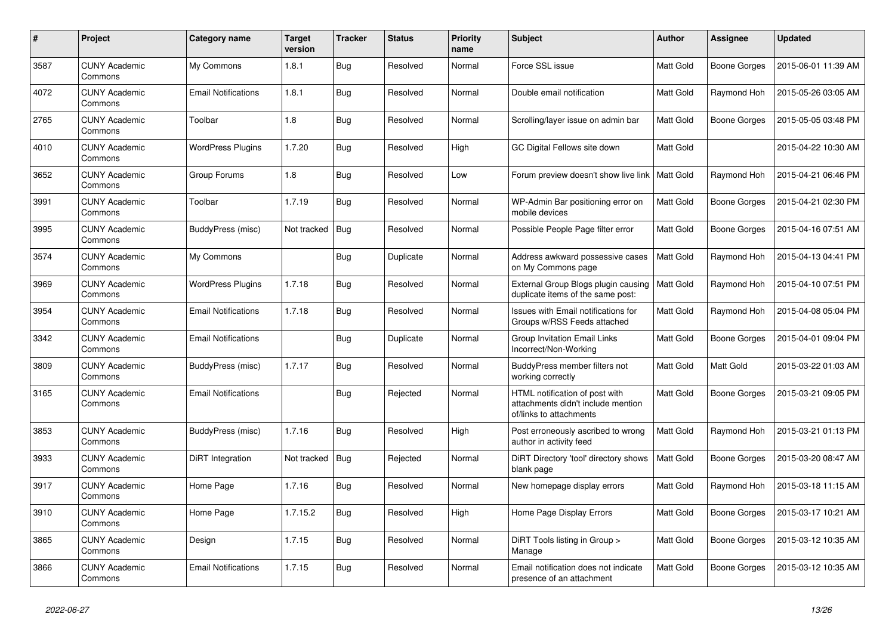| $\pmb{\#}$ | Project                         | Category name              | <b>Target</b><br>version | <b>Tracker</b> | <b>Status</b> | <b>Priority</b><br>name | <b>Subject</b>                                                                                  | <b>Author</b>    | Assignee            | <b>Updated</b>      |
|------------|---------------------------------|----------------------------|--------------------------|----------------|---------------|-------------------------|-------------------------------------------------------------------------------------------------|------------------|---------------------|---------------------|
| 3587       | <b>CUNY Academic</b><br>Commons | My Commons                 | 1.8.1                    | Bug            | Resolved      | Normal                  | Force SSL issue                                                                                 | <b>Matt Gold</b> | <b>Boone Gorges</b> | 2015-06-01 11:39 AM |
| 4072       | <b>CUNY Academic</b><br>Commons | <b>Email Notifications</b> | 1.8.1                    | <b>Bug</b>     | Resolved      | Normal                  | Double email notification                                                                       | Matt Gold        | Raymond Hoh         | 2015-05-26 03:05 AM |
| 2765       | <b>CUNY Academic</b><br>Commons | Toolbar                    | 1.8                      | <b>Bug</b>     | Resolved      | Normal                  | Scrolling/layer issue on admin bar                                                              | Matt Gold        | Boone Gorges        | 2015-05-05 03:48 PM |
| 4010       | <b>CUNY Academic</b><br>Commons | <b>WordPress Plugins</b>   | 1.7.20                   | <b>Bug</b>     | Resolved      | High                    | GC Digital Fellows site down                                                                    | Matt Gold        |                     | 2015-04-22 10:30 AM |
| 3652       | <b>CUNY Academic</b><br>Commons | Group Forums               | 1.8                      | <b>Bug</b>     | Resolved      | Low                     | Forum preview doesn't show live link                                                            | <b>Matt Gold</b> | Raymond Hoh         | 2015-04-21 06:46 PM |
| 3991       | <b>CUNY Academic</b><br>Commons | Toolbar                    | 1.7.19                   | Bug            | Resolved      | Normal                  | WP-Admin Bar positioning error on<br>mobile devices                                             | <b>Matt Gold</b> | Boone Gorges        | 2015-04-21 02:30 PM |
| 3995       | <b>CUNY Academic</b><br>Commons | BuddyPress (misc)          | Not tracked              | Bug            | Resolved      | Normal                  | Possible People Page filter error                                                               | Matt Gold        | Boone Gorges        | 2015-04-16 07:51 AM |
| 3574       | <b>CUNY Academic</b><br>Commons | My Commons                 |                          | <b>Bug</b>     | Duplicate     | Normal                  | Address awkward possessive cases<br>on My Commons page                                          | <b>Matt Gold</b> | Raymond Hoh         | 2015-04-13 04:41 PM |
| 3969       | <b>CUNY Academic</b><br>Commons | <b>WordPress Plugins</b>   | 1.7.18                   | <b>Bug</b>     | Resolved      | Normal                  | External Group Blogs plugin causing<br>duplicate items of the same post:                        | <b>Matt Gold</b> | Raymond Hoh         | 2015-04-10 07:51 PM |
| 3954       | <b>CUNY Academic</b><br>Commons | <b>Email Notifications</b> | 1.7.18                   | <b>Bug</b>     | Resolved      | Normal                  | Issues with Email notifications for<br>Groups w/RSS Feeds attached                              | Matt Gold        | Raymond Hoh         | 2015-04-08 05:04 PM |
| 3342       | <b>CUNY Academic</b><br>Commons | <b>Email Notifications</b> |                          | Bug            | Duplicate     | Normal                  | Group Invitation Email Links<br>Incorrect/Non-Working                                           | Matt Gold        | Boone Gorges        | 2015-04-01 09:04 PM |
| 3809       | <b>CUNY Academic</b><br>Commons | BuddyPress (misc)          | 1.7.17                   | <b>Bug</b>     | Resolved      | Normal                  | BuddyPress member filters not<br>working correctly                                              | Matt Gold        | <b>Matt Gold</b>    | 2015-03-22 01:03 AM |
| 3165       | <b>CUNY Academic</b><br>Commons | <b>Email Notifications</b> |                          | <b>Bug</b>     | Rejected      | Normal                  | HTML notification of post with<br>attachments didn't include mention<br>of/links to attachments | Matt Gold        | Boone Gorges        | 2015-03-21 09:05 PM |
| 3853       | <b>CUNY Academic</b><br>Commons | BuddyPress (misc)          | 1.7.16                   | Bug            | Resolved      | High                    | Post erroneously ascribed to wrong<br>author in activity feed                                   | Matt Gold        | Raymond Hoh         | 2015-03-21 01:13 PM |
| 3933       | <b>CUNY Academic</b><br>Commons | DiRT Integration           | Not tracked              | Bug            | Rejected      | Normal                  | DiRT Directory 'tool' directory shows<br>blank page                                             | <b>Matt Gold</b> | Boone Gorges        | 2015-03-20 08:47 AM |
| 3917       | <b>CUNY Academic</b><br>Commons | Home Page                  | 1.7.16                   | Bug            | Resolved      | Normal                  | New homepage display errors                                                                     | Matt Gold        | Raymond Hoh         | 2015-03-18 11:15 AM |
| 3910       | <b>CUNY Academic</b><br>Commons | Home Page                  | 1.7.15.2                 | Bug            | Resolved      | High                    | Home Page Display Errors                                                                        | Matt Gold        | Boone Gorges        | 2015-03-17 10:21 AM |
| 3865       | <b>CUNY Academic</b><br>Commons | Design                     | 1.7.15                   | <b>Bug</b>     | Resolved      | Normal                  | DiRT Tools listing in Group ><br>Manage                                                         | Matt Gold        | Boone Gorges        | 2015-03-12 10:35 AM |
| 3866       | <b>CUNY Academic</b><br>Commons | <b>Email Notifications</b> | 1.7.15                   | <b>Bug</b>     | Resolved      | Normal                  | Email notification does not indicate<br>presence of an attachment                               | Matt Gold        | Boone Gorges        | 2015-03-12 10:35 AM |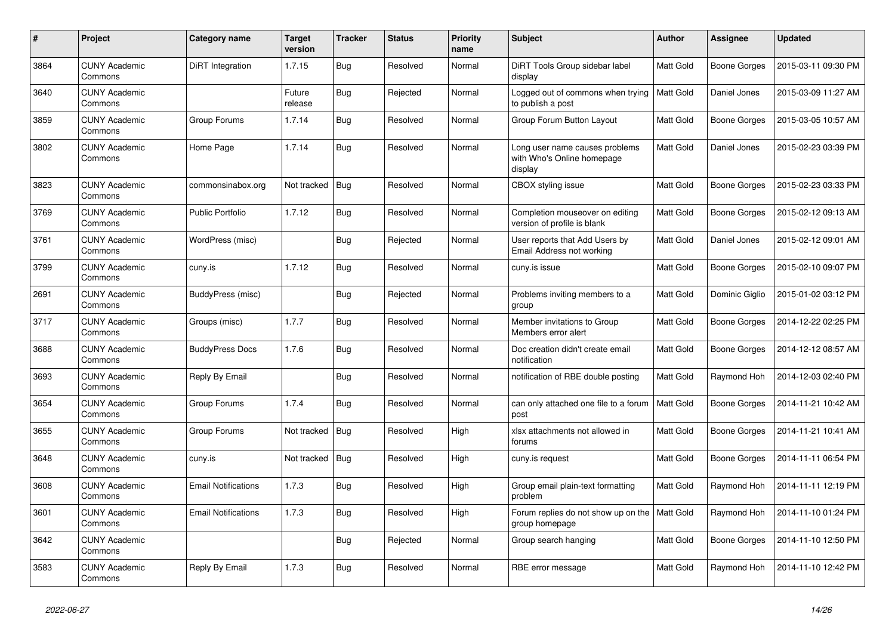| $\pmb{\#}$ | Project                         | Category name              | <b>Target</b><br>version | <b>Tracker</b> | <b>Status</b> | <b>Priority</b><br>name | <b>Subject</b>                                                          | <b>Author</b>    | Assignee            | <b>Updated</b>      |
|------------|---------------------------------|----------------------------|--------------------------|----------------|---------------|-------------------------|-------------------------------------------------------------------------|------------------|---------------------|---------------------|
| 3864       | <b>CUNY Academic</b><br>Commons | DiRT Integration           | 1.7.15                   | Bug            | Resolved      | Normal                  | DiRT Tools Group sidebar label<br>display                               | <b>Matt Gold</b> | Boone Gorges        | 2015-03-11 09:30 PM |
| 3640       | <b>CUNY Academic</b><br>Commons |                            | Future<br>release        | Bug            | Rejected      | Normal                  | Logged out of commons when trying<br>to publish a post                  | <b>Matt Gold</b> | Daniel Jones        | 2015-03-09 11:27 AM |
| 3859       | <b>CUNY Academic</b><br>Commons | Group Forums               | 1.7.14                   | <b>Bug</b>     | Resolved      | Normal                  | Group Forum Button Layout                                               | Matt Gold        | Boone Gorges        | 2015-03-05 10:57 AM |
| 3802       | <b>CUNY Academic</b><br>Commons | Home Page                  | 1.7.14                   | Bug            | Resolved      | Normal                  | Long user name causes problems<br>with Who's Online homepage<br>display | Matt Gold        | Daniel Jones        | 2015-02-23 03:39 PM |
| 3823       | <b>CUNY Academic</b><br>Commons | commonsinabox.org          | Not tracked              | Bug            | Resolved      | Normal                  | CBOX styling issue                                                      | Matt Gold        | <b>Boone Gorges</b> | 2015-02-23 03:33 PM |
| 3769       | <b>CUNY Academic</b><br>Commons | <b>Public Portfolio</b>    | 1.7.12                   | <b>Bug</b>     | Resolved      | Normal                  | Completion mouseover on editing<br>version of profile is blank          | <b>Matt Gold</b> | Boone Gorges        | 2015-02-12 09:13 AM |
| 3761       | <b>CUNY Academic</b><br>Commons | WordPress (misc)           |                          | <b>Bug</b>     | Rejected      | Normal                  | User reports that Add Users by<br>Email Address not working             | Matt Gold        | Daniel Jones        | 2015-02-12 09:01 AM |
| 3799       | <b>CUNY Academic</b><br>Commons | cuny.is                    | 1.7.12                   | Bug            | Resolved      | Normal                  | cuny.is issue                                                           | Matt Gold        | Boone Gorges        | 2015-02-10 09:07 PM |
| 2691       | <b>CUNY Academic</b><br>Commons | BuddyPress (misc)          |                          | Bug            | Rejected      | Normal                  | Problems inviting members to a<br>group                                 | Matt Gold        | Dominic Giglio      | 2015-01-02 03:12 PM |
| 3717       | <b>CUNY Academic</b><br>Commons | Groups (misc)              | 1.7.7                    | Bug            | Resolved      | Normal                  | Member invitations to Group<br>Members error alert                      | Matt Gold        | Boone Gorges        | 2014-12-22 02:25 PM |
| 3688       | <b>CUNY Academic</b><br>Commons | <b>BuddyPress Docs</b>     | 1.7.6                    | Bug            | Resolved      | Normal                  | Doc creation didn't create email<br>notification                        | Matt Gold        | Boone Gorges        | 2014-12-12 08:57 AM |
| 3693       | <b>CUNY Academic</b><br>Commons | Reply By Email             |                          | Bug            | Resolved      | Normal                  | notification of RBE double posting                                      | <b>Matt Gold</b> | Raymond Hoh         | 2014-12-03 02:40 PM |
| 3654       | <b>CUNY Academic</b><br>Commons | Group Forums               | 1.7.4                    | Bug            | Resolved      | Normal                  | can only attached one file to a forum<br>post                           | <b>Matt Gold</b> | Boone Gorges        | 2014-11-21 10:42 AM |
| 3655       | <b>CUNY Academic</b><br>Commons | Group Forums               | Not tracked              | <b>Bug</b>     | Resolved      | High                    | xlsx attachments not allowed in<br>forums                               | Matt Gold        | Boone Gorges        | 2014-11-21 10:41 AM |
| 3648       | <b>CUNY Academic</b><br>Commons | cuny.is                    | Not tracked              | Bug            | Resolved      | High                    | cuny.is request                                                         | Matt Gold        | <b>Boone Gorges</b> | 2014-11-11 06:54 PM |
| 3608       | <b>CUNY Academic</b><br>Commons | <b>Email Notifications</b> | 1.7.3                    | Bug            | Resolved      | High                    | Group email plain-text formatting<br>problem                            | Matt Gold        | Raymond Hoh         | 2014-11-11 12:19 PM |
| 3601       | <b>CUNY Academic</b><br>Commons | <b>Email Notifications</b> | 1.7.3                    | <b>Bug</b>     | Resolved      | High                    | Forum replies do not show up on the<br>group homepage                   | Matt Gold        | Raymond Hoh         | 2014-11-10 01:24 PM |
| 3642       | <b>CUNY Academic</b><br>Commons |                            |                          | Bug            | Rejected      | Normal                  | Group search hanging                                                    | Matt Gold        | <b>Boone Gorges</b> | 2014-11-10 12:50 PM |
| 3583       | <b>CUNY Academic</b><br>Commons | Reply By Email             | 1.7.3                    | <b>Bug</b>     | Resolved      | Normal                  | RBE error message                                                       | Matt Gold        | Raymond Hoh         | 2014-11-10 12:42 PM |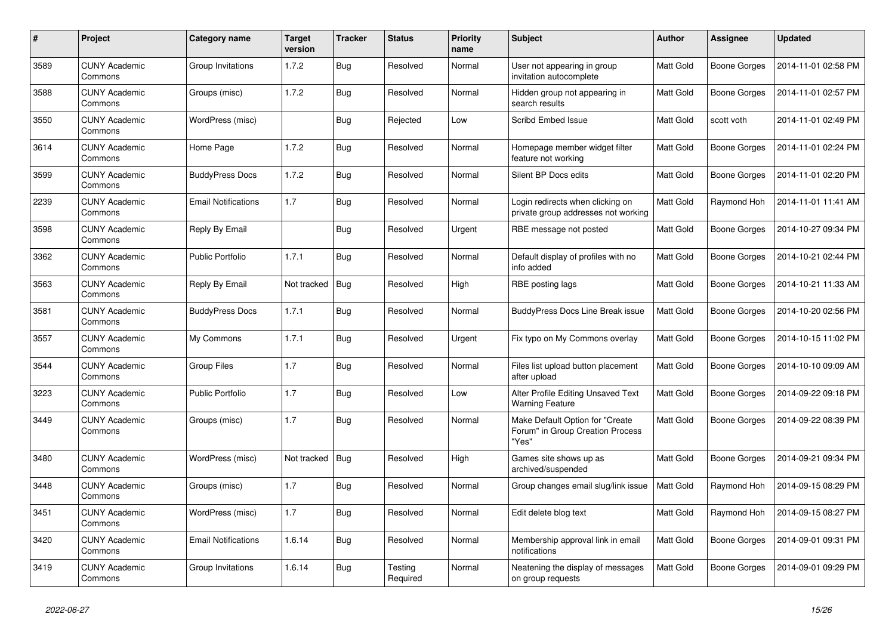| #    | Project                         | Category name              | <b>Target</b><br>version | <b>Tracker</b> | <b>Status</b>       | <b>Priority</b><br>name | <b>Subject</b>                                                               | <b>Author</b>    | Assignee     | <b>Updated</b>      |
|------|---------------------------------|----------------------------|--------------------------|----------------|---------------------|-------------------------|------------------------------------------------------------------------------|------------------|--------------|---------------------|
| 3589 | <b>CUNY Academic</b><br>Commons | Group Invitations          | 1.7.2                    | Bug            | Resolved            | Normal                  | User not appearing in group<br>invitation autocomplete                       | <b>Matt Gold</b> | Boone Gorges | 2014-11-01 02:58 PM |
| 3588 | <b>CUNY Academic</b><br>Commons | Groups (misc)              | 1.7.2                    | Bug            | Resolved            | Normal                  | Hidden group not appearing in<br>search results                              | Matt Gold        | Boone Gorges | 2014-11-01 02:57 PM |
| 3550 | <b>CUNY Academic</b><br>Commons | WordPress (misc)           |                          | Bug            | Rejected            | Low                     | <b>Scribd Embed Issue</b>                                                    | Matt Gold        | scott voth   | 2014-11-01 02:49 PM |
| 3614 | <b>CUNY Academic</b><br>Commons | Home Page                  | 1.7.2                    | Bug            | Resolved            | Normal                  | Homepage member widget filter<br>feature not working                         | <b>Matt Gold</b> | Boone Gorges | 2014-11-01 02:24 PM |
| 3599 | <b>CUNY Academic</b><br>Commons | <b>BuddyPress Docs</b>     | 1.7.2                    | Bug            | Resolved            | Normal                  | Silent BP Docs edits                                                         | Matt Gold        | Boone Gorges | 2014-11-01 02:20 PM |
| 2239 | <b>CUNY Academic</b><br>Commons | <b>Email Notifications</b> | 1.7                      | Bug            | Resolved            | Normal                  | Login redirects when clicking on<br>private group addresses not working      | Matt Gold        | Raymond Hoh  | 2014-11-01 11:41 AM |
| 3598 | <b>CUNY Academic</b><br>Commons | Reply By Email             |                          | <b>Bug</b>     | Resolved            | Urgent                  | RBE message not posted                                                       | Matt Gold        | Boone Gorges | 2014-10-27 09:34 PM |
| 3362 | CUNY Academic<br>Commons        | <b>Public Portfolio</b>    | 1.7.1                    | <b>Bug</b>     | Resolved            | Normal                  | Default display of profiles with no<br>info added                            | Matt Gold        | Boone Gorges | 2014-10-21 02:44 PM |
| 3563 | <b>CUNY Academic</b><br>Commons | Reply By Email             | Not tracked              | Bug            | Resolved            | High                    | RBE posting lags                                                             | Matt Gold        | Boone Gorges | 2014-10-21 11:33 AM |
| 3581 | <b>CUNY Academic</b><br>Commons | <b>BuddyPress Docs</b>     | 1.7.1                    | Bug            | Resolved            | Normal                  | <b>BuddyPress Docs Line Break issue</b>                                      | Matt Gold        | Boone Gorges | 2014-10-20 02:56 PM |
| 3557 | <b>CUNY Academic</b><br>Commons | My Commons                 | 1.7.1                    | Bug            | Resolved            | Urgent                  | Fix typo on My Commons overlay                                               | Matt Gold        | Boone Gorges | 2014-10-15 11:02 PM |
| 3544 | <b>CUNY Academic</b><br>Commons | <b>Group Files</b>         | 1.7                      | Bug            | Resolved            | Normal                  | Files list upload button placement<br>after upload                           | Matt Gold        | Boone Gorges | 2014-10-10 09:09 AM |
| 3223 | <b>CUNY Academic</b><br>Commons | <b>Public Portfolio</b>    | 1.7                      | <b>Bug</b>     | Resolved            | Low                     | Alter Profile Editing Unsaved Text<br><b>Warning Feature</b>                 | Matt Gold        | Boone Gorges | 2014-09-22 09:18 PM |
| 3449 | <b>CUNY Academic</b><br>Commons | Groups (misc)              | 1.7                      | <b>Bug</b>     | Resolved            | Normal                  | Make Default Option for "Create<br>Forum" in Group Creation Process<br>"Yes" | Matt Gold        | Boone Gorges | 2014-09-22 08:39 PM |
| 3480 | <b>CUNY Academic</b><br>Commons | WordPress (misc)           | Not tracked              | <b>Bug</b>     | Resolved            | High                    | Games site shows up as<br>archived/suspended                                 | Matt Gold        | Boone Gorges | 2014-09-21 09:34 PM |
| 3448 | <b>CUNY Academic</b><br>Commons | Groups (misc)              | 1.7                      | <b>Bug</b>     | Resolved            | Normal                  | Group changes email slug/link issue                                          | Matt Gold        | Raymond Hoh  | 2014-09-15 08:29 PM |
| 3451 | <b>CUNY Academic</b><br>Commons | WordPress (misc)           | 1.7                      | Bug            | Resolved            | Normal                  | Edit delete blog text                                                        | <b>Matt Gold</b> | Raymond Hoh  | 2014-09-15 08:27 PM |
| 3420 | <b>CUNY Academic</b><br>Commons | <b>Email Notifications</b> | 1.6.14                   | <b>Bug</b>     | Resolved            | Normal                  | Membership approval link in email<br>notifications                           | Matt Gold        | Boone Gorges | 2014-09-01 09:31 PM |
| 3419 | <b>CUNY Academic</b><br>Commons | Group Invitations          | 1.6.14                   | <b>Bug</b>     | Testing<br>Required | Normal                  | Neatening the display of messages<br>on group requests                       | <b>Matt Gold</b> | Boone Gorges | 2014-09-01 09:29 PM |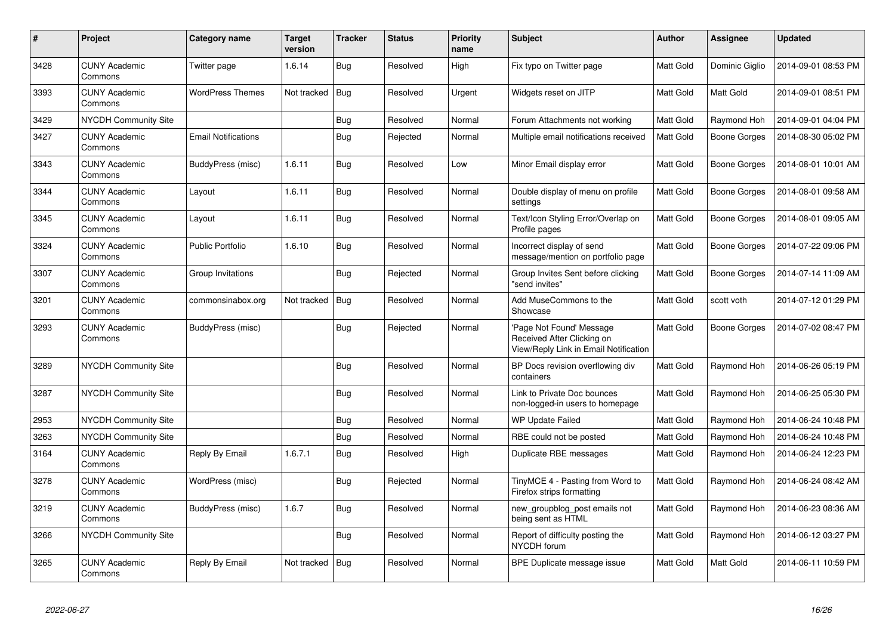| $\#$ | Project                         | Category name              | <b>Target</b><br>version | <b>Tracker</b> | <b>Status</b> | <b>Priority</b><br>name | <b>Subject</b>                                                                                 | <b>Author</b>    | Assignee            | <b>Updated</b>      |
|------|---------------------------------|----------------------------|--------------------------|----------------|---------------|-------------------------|------------------------------------------------------------------------------------------------|------------------|---------------------|---------------------|
| 3428 | <b>CUNY Academic</b><br>Commons | Twitter page               | 1.6.14                   | Bug            | Resolved      | High                    | Fix typo on Twitter page                                                                       | <b>Matt Gold</b> | Dominic Giglio      | 2014-09-01 08:53 PM |
| 3393 | <b>CUNY Academic</b><br>Commons | <b>WordPress Themes</b>    | Not tracked              | Bug            | Resolved      | Urgent                  | Widgets reset on JITP                                                                          | Matt Gold        | <b>Matt Gold</b>    | 2014-09-01 08:51 PM |
| 3429 | <b>NYCDH Community Site</b>     |                            |                          | <b>Bug</b>     | Resolved      | Normal                  | Forum Attachments not working                                                                  | Matt Gold        | Raymond Hoh         | 2014-09-01 04:04 PM |
| 3427 | <b>CUNY Academic</b><br>Commons | <b>Email Notifications</b> |                          | Bug            | Rejected      | Normal                  | Multiple email notifications received                                                          | <b>Matt Gold</b> | Boone Gorges        | 2014-08-30 05:02 PM |
| 3343 | <b>CUNY Academic</b><br>Commons | BuddyPress (misc)          | 1.6.11                   | <b>Bug</b>     | Resolved      | Low                     | Minor Email display error                                                                      | Matt Gold        | Boone Gorges        | 2014-08-01 10:01 AM |
| 3344 | <b>CUNY Academic</b><br>Commons | Layout                     | 1.6.11                   | <b>Bug</b>     | Resolved      | Normal                  | Double display of menu on profile<br>settings                                                  | Matt Gold        | Boone Gorges        | 2014-08-01 09:58 AM |
| 3345 | <b>CUNY Academic</b><br>Commons | Layout                     | 1.6.11                   | Bug            | Resolved      | Normal                  | Text/Icon Styling Error/Overlap on<br>Profile pages                                            | Matt Gold        | Boone Gorges        | 2014-08-01 09:05 AM |
| 3324 | <b>CUNY Academic</b><br>Commons | <b>Public Portfolio</b>    | 1.6.10                   | Bug            | Resolved      | Normal                  | Incorrect display of send<br>message/mention on portfolio page                                 | <b>Matt Gold</b> | <b>Boone Gorges</b> | 2014-07-22 09:06 PM |
| 3307 | <b>CUNY Academic</b><br>Commons | Group Invitations          |                          | Bug            | Rejected      | Normal                  | Group Invites Sent before clicking<br>'send invites"                                           | Matt Gold        | Boone Gorges        | 2014-07-14 11:09 AM |
| 3201 | <b>CUNY Academic</b><br>Commons | commonsinabox.org          | Not tracked              | Bug            | Resolved      | Normal                  | Add MuseCommons to the<br>Showcase                                                             | <b>Matt Gold</b> | scott voth          | 2014-07-12 01:29 PM |
| 3293 | <b>CUNY Academic</b><br>Commons | BuddyPress (misc)          |                          | Bug            | Rejected      | Normal                  | Page Not Found' Message<br>Received After Clicking on<br>View/Reply Link in Email Notification | <b>Matt Gold</b> | <b>Boone Gorges</b> | 2014-07-02 08:47 PM |
| 3289 | <b>NYCDH Community Site</b>     |                            |                          | <b>Bug</b>     | Resolved      | Normal                  | BP Docs revision overflowing div<br>containers                                                 | Matt Gold        | Raymond Hoh         | 2014-06-26 05:19 PM |
| 3287 | <b>NYCDH Community Site</b>     |                            |                          | Bug            | Resolved      | Normal                  | Link to Private Doc bounces<br>non-logged-in users to homepage                                 | Matt Gold        | Raymond Hoh         | 2014-06-25 05:30 PM |
| 2953 | <b>NYCDH Community Site</b>     |                            |                          | Bug            | Resolved      | Normal                  | <b>WP Update Failed</b>                                                                        | Matt Gold        | Raymond Hoh         | 2014-06-24 10:48 PM |
| 3263 | NYCDH Community Site            |                            |                          | Bug            | Resolved      | Normal                  | RBE could not be posted                                                                        | Matt Gold        | Raymond Hoh         | 2014-06-24 10:48 PM |
| 3164 | <b>CUNY Academic</b><br>Commons | Reply By Email             | 1.6.7.1                  | <b>Bug</b>     | Resolved      | High                    | Duplicate RBE messages                                                                         | Matt Gold        | Raymond Hoh         | 2014-06-24 12:23 PM |
| 3278 | <b>CUNY Academic</b><br>Commons | WordPress (misc)           |                          | Bug            | Rejected      | Normal                  | TinyMCE 4 - Pasting from Word to<br>Firefox strips formatting                                  | Matt Gold        | Raymond Hoh         | 2014-06-24 08:42 AM |
| 3219 | <b>CUNY Academic</b><br>Commons | BuddyPress (misc)          | 1.6.7                    | Bug            | Resolved      | Normal                  | new_groupblog_post emails not<br>being sent as HTML                                            | Matt Gold        | Raymond Hoh         | 2014-06-23 08:36 AM |
| 3266 | <b>NYCDH Community Site</b>     |                            |                          | Bug            | Resolved      | Normal                  | Report of difficulty posting the<br>NYCDH forum                                                | Matt Gold        | Raymond Hoh         | 2014-06-12 03:27 PM |
| 3265 | <b>CUNY Academic</b><br>Commons | Reply By Email             | Not tracked              | Bug            | Resolved      | Normal                  | BPE Duplicate message issue                                                                    | Matt Gold        | <b>Matt Gold</b>    | 2014-06-11 10:59 PM |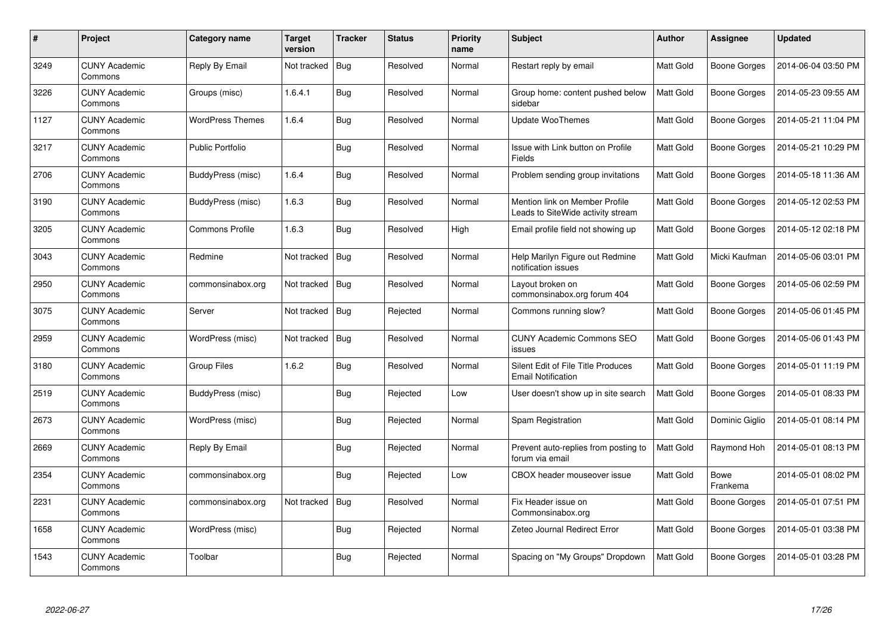| $\#$ | Project                         | Category name           | <b>Target</b><br>version | <b>Tracker</b> | <b>Status</b> | <b>Priority</b><br>name | <b>Subject</b>                                                      | <b>Author</b>    | Assignee            | <b>Updated</b>      |
|------|---------------------------------|-------------------------|--------------------------|----------------|---------------|-------------------------|---------------------------------------------------------------------|------------------|---------------------|---------------------|
| 3249 | <b>CUNY Academic</b><br>Commons | Reply By Email          | Not tracked              | Bug            | Resolved      | Normal                  | Restart reply by email                                              | <b>Matt Gold</b> | Boone Gorges        | 2014-06-04 03:50 PM |
| 3226 | <b>CUNY Academic</b><br>Commons | Groups (misc)           | 1.6.4.1                  | Bug            | Resolved      | Normal                  | Group home: content pushed below<br>sidebar                         | <b>Matt Gold</b> | Boone Gorges        | 2014-05-23 09:55 AM |
| 1127 | <b>CUNY Academic</b><br>Commons | <b>WordPress Themes</b> | 1.6.4                    | <b>Bug</b>     | Resolved      | Normal                  | Update WooThemes                                                    | Matt Gold        | Boone Gorges        | 2014-05-21 11:04 PM |
| 3217 | <b>CUNY Academic</b><br>Commons | Public Portfolio        |                          | Bug            | Resolved      | Normal                  | Issue with Link button on Profile<br>Fields                         | Matt Gold        | Boone Gorges        | 2014-05-21 10:29 PM |
| 2706 | <b>CUNY Academic</b><br>Commons | BuddyPress (misc)       | 1.6.4                    | Bug            | Resolved      | Normal                  | Problem sending group invitations                                   | <b>Matt Gold</b> | <b>Boone Gorges</b> | 2014-05-18 11:36 AM |
| 3190 | <b>CUNY Academic</b><br>Commons | BuddyPress (misc)       | 1.6.3                    | Bug            | Resolved      | Normal                  | Mention link on Member Profile<br>Leads to SiteWide activity stream | Matt Gold        | Boone Gorges        | 2014-05-12 02:53 PM |
| 3205 | <b>CUNY Academic</b><br>Commons | <b>Commons Profile</b>  | 1.6.3                    | <b>Bug</b>     | Resolved      | High                    | Email profile field not showing up                                  | Matt Gold        | <b>Boone Gorges</b> | 2014-05-12 02:18 PM |
| 3043 | <b>CUNY Academic</b><br>Commons | Redmine                 | Not tracked              | Bug            | Resolved      | Normal                  | Help Marilyn Figure out Redmine<br>notification issues              | Matt Gold        | Micki Kaufman       | 2014-05-06 03:01 PM |
| 2950 | <b>CUNY Academic</b><br>Commons | commonsinabox.org       | Not tracked              | <b>Bug</b>     | Resolved      | Normal                  | Layout broken on<br>commonsinabox.org forum 404                     | <b>Matt Gold</b> | <b>Boone Gorges</b> | 2014-05-06 02:59 PM |
| 3075 | <b>CUNY Academic</b><br>Commons | Server                  | Not tracked              | Bug            | Rejected      | Normal                  | Commons running slow?                                               | Matt Gold        | Boone Gorges        | 2014-05-06 01:45 PM |
| 2959 | <b>CUNY Academic</b><br>Commons | WordPress (misc)        | Not tracked              | Bug            | Resolved      | Normal                  | <b>CUNY Academic Commons SEO</b><br>issues                          | Matt Gold        | Boone Gorges        | 2014-05-06 01:43 PM |
| 3180 | <b>CUNY Academic</b><br>Commons | Group Files             | 1.6.2                    | <b>Bug</b>     | Resolved      | Normal                  | Silent Edit of File Title Produces<br><b>Email Notification</b>     | Matt Gold        | Boone Gorges        | 2014-05-01 11:19 PM |
| 2519 | <b>CUNY Academic</b><br>Commons | BuddyPress (misc)       |                          | Bug            | Rejected      | Low                     | User doesn't show up in site search                                 | <b>Matt Gold</b> | Boone Gorges        | 2014-05-01 08:33 PM |
| 2673 | <b>CUNY Academic</b><br>Commons | WordPress (misc)        |                          | Bug            | Rejected      | Normal                  | Spam Registration                                                   | Matt Gold        | Dominic Giglio      | 2014-05-01 08:14 PM |
| 2669 | <b>CUNY Academic</b><br>Commons | Reply By Email          |                          | Bug            | Rejected      | Normal                  | Prevent auto-replies from posting to<br>forum via email             | Matt Gold        | Raymond Hoh         | 2014-05-01 08:13 PM |
| 2354 | <b>CUNY Academic</b><br>Commons | commonsinabox.org       |                          | Bug            | Rejected      | Low                     | CBOX header mouseover issue                                         | Matt Gold        | Bowe<br>Frankema    | 2014-05-01 08:02 PM |
| 2231 | <b>CUNY Academic</b><br>Commons | commonsinabox.org       | Not tracked              | Bug            | Resolved      | Normal                  | Fix Header issue on<br>Commonsinabox.org                            | Matt Gold        | Boone Gorges        | 2014-05-01 07:51 PM |
| 1658 | <b>CUNY Academic</b><br>Commons | WordPress (misc)        |                          | Bug            | Rejected      | Normal                  | Zeteo Journal Redirect Error                                        | Matt Gold        | Boone Gorges        | 2014-05-01 03:38 PM |
| 1543 | <b>CUNY Academic</b><br>Commons | Toolbar                 |                          | Bug            | Rejected      | Normal                  | Spacing on "My Groups" Dropdown                                     | Matt Gold        | Boone Gorges        | 2014-05-01 03:28 PM |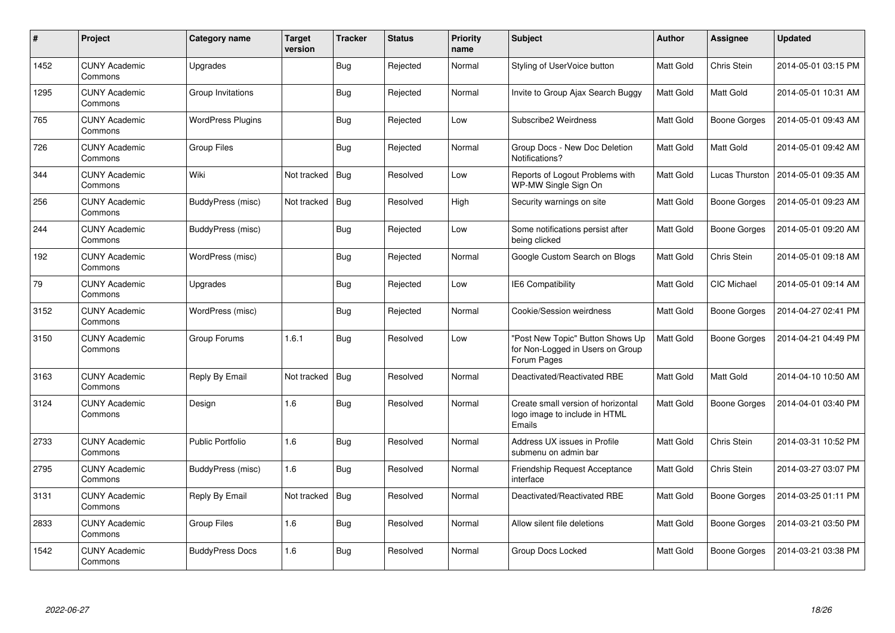| $\#$ | Project                         | Category name            | <b>Target</b><br>version | <b>Tracker</b> | <b>Status</b> | <b>Priority</b><br>name | <b>Subject</b>                                                                      | <b>Author</b>    | <b>Assignee</b>     | <b>Updated</b>      |
|------|---------------------------------|--------------------------|--------------------------|----------------|---------------|-------------------------|-------------------------------------------------------------------------------------|------------------|---------------------|---------------------|
| 1452 | <b>CUNY Academic</b><br>Commons | Upgrades                 |                          | Bug            | Rejected      | Normal                  | Styling of UserVoice button                                                         | Matt Gold        | Chris Stein         | 2014-05-01 03:15 PM |
| 1295 | <b>CUNY Academic</b><br>Commons | Group Invitations        |                          | Bug            | Rejected      | Normal                  | Invite to Group Ajax Search Buggy                                                   | <b>Matt Gold</b> | <b>Matt Gold</b>    | 2014-05-01 10:31 AM |
| 765  | <b>CUNY Academic</b><br>Commons | <b>WordPress Plugins</b> |                          | Bug            | Rejected      | Low                     | Subscribe2 Weirdness                                                                | <b>Matt Gold</b> | Boone Gorges        | 2014-05-01 09:43 AM |
| 726  | <b>CUNY Academic</b><br>Commons | Group Files              |                          | <b>Bug</b>     | Rejected      | Normal                  | Group Docs - New Doc Deletion<br>Notifications?                                     | Matt Gold        | Matt Gold           | 2014-05-01 09:42 AM |
| 344  | <b>CUNY Academic</b><br>Commons | Wiki                     | Not tracked              | Bug            | Resolved      | Low                     | Reports of Logout Problems with<br>WP-MW Single Sign On                             | Matt Gold        | Lucas Thurston      | 2014-05-01 09:35 AM |
| 256  | <b>CUNY Academic</b><br>Commons | BuddyPress (misc)        | Not tracked              | Bug            | Resolved      | High                    | Security warnings on site                                                           | Matt Gold        | <b>Boone Gorges</b> | 2014-05-01 09:23 AM |
| 244  | <b>CUNY Academic</b><br>Commons | BuddyPress (misc)        |                          | Bug            | Rejected      | Low                     | Some notifications persist after<br>being clicked                                   | Matt Gold        | Boone Gorges        | 2014-05-01 09:20 AM |
| 192  | <b>CUNY Academic</b><br>Commons | WordPress (misc)         |                          | <b>Bug</b>     | Rejected      | Normal                  | Google Custom Search on Blogs                                                       | Matt Gold        | Chris Stein         | 2014-05-01 09:18 AM |
| 79   | <b>CUNY Academic</b><br>Commons | Upgrades                 |                          | <b>Bug</b>     | Rejected      | Low                     | IE6 Compatibility                                                                   | Matt Gold        | CIC Michael         | 2014-05-01 09:14 AM |
| 3152 | <b>CUNY Academic</b><br>Commons | WordPress (misc)         |                          | Bug            | Rejected      | Normal                  | Cookie/Session weirdness                                                            | Matt Gold        | <b>Boone Gorges</b> | 2014-04-27 02:41 PM |
| 3150 | <b>CUNY Academic</b><br>Commons | Group Forums             | 1.6.1                    | <b>Bug</b>     | Resolved      | Low                     | "Post New Topic" Button Shows Up<br>for Non-Logged in Users on Group<br>Forum Pages | Matt Gold        | Boone Gorges        | 2014-04-21 04:49 PM |
| 3163 | <b>CUNY Academic</b><br>Commons | Reply By Email           | Not tracked              | Bug            | Resolved      | Normal                  | Deactivated/Reactivated RBE                                                         | Matt Gold        | <b>Matt Gold</b>    | 2014-04-10 10:50 AM |
| 3124 | <b>CUNY Academic</b><br>Commons | Design                   | 1.6                      | <b>Bug</b>     | Resolved      | Normal                  | Create small version of horizontal<br>logo image to include in HTML<br>Emails       | Matt Gold        | Boone Gorges        | 2014-04-01 03:40 PM |
| 2733 | <b>CUNY Academic</b><br>Commons | <b>Public Portfolio</b>  | 1.6                      | Bug            | Resolved      | Normal                  | Address UX issues in Profile<br>submenu on admin bar                                | Matt Gold        | Chris Stein         | 2014-03-31 10:52 PM |
| 2795 | <b>CUNY Academic</b><br>Commons | BuddyPress (misc)        | 1.6                      | <b>Bug</b>     | Resolved      | Normal                  | Friendship Request Acceptance<br>interface                                          | Matt Gold        | Chris Stein         | 2014-03-27 03:07 PM |
| 3131 | <b>CUNY Academic</b><br>Commons | Reply By Email           | Not tracked              | <b>Bug</b>     | Resolved      | Normal                  | Deactivated/Reactivated RBE                                                         | Matt Gold        | Boone Gorges        | 2014-03-25 01:11 PM |
| 2833 | <b>CUNY Academic</b><br>Commons | Group Files              | 1.6                      | Bug            | Resolved      | Normal                  | Allow silent file deletions                                                         | Matt Gold        | Boone Gorges        | 2014-03-21 03:50 PM |
| 1542 | <b>CUNY Academic</b><br>Commons | <b>BuddyPress Docs</b>   | 1.6                      | Bug            | Resolved      | Normal                  | Group Docs Locked                                                                   | <b>Matt Gold</b> | Boone Gorges        | 2014-03-21 03:38 PM |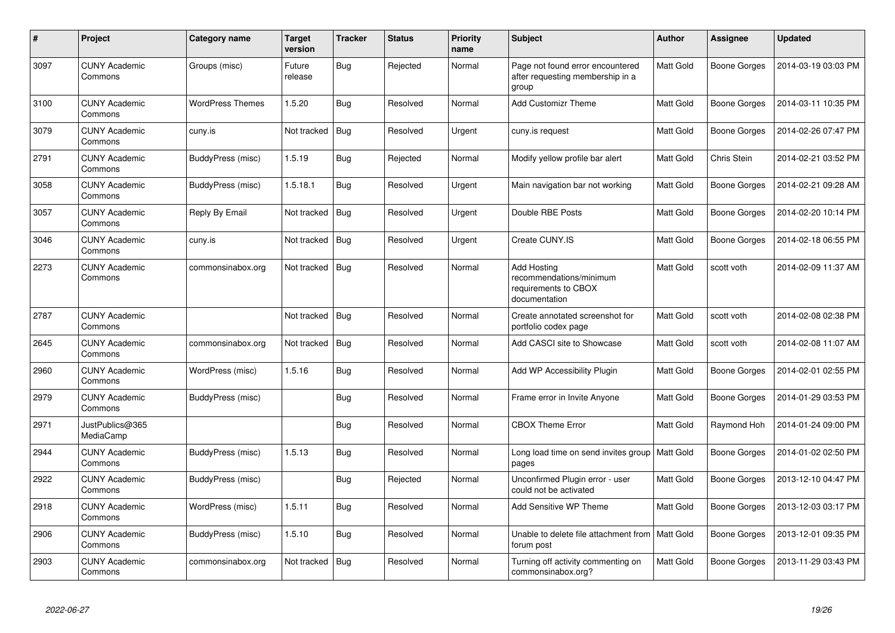| #    | Project                         | Category name           | <b>Target</b><br>version | <b>Tracker</b> | <b>Status</b> | <b>Priority</b><br>name | Subject                                                                                | <b>Author</b>    | Assignee     | <b>Updated</b>      |
|------|---------------------------------|-------------------------|--------------------------|----------------|---------------|-------------------------|----------------------------------------------------------------------------------------|------------------|--------------|---------------------|
| 3097 | <b>CUNY Academic</b><br>Commons | Groups (misc)           | Future<br>release        | <b>Bug</b>     | Rejected      | Normal                  | Page not found error encountered<br>after requesting membership in a<br>group          | Matt Gold        | Boone Gorges | 2014-03-19 03:03 PM |
| 3100 | <b>CUNY Academic</b><br>Commons | <b>WordPress Themes</b> | 1.5.20                   | <b>Bug</b>     | Resolved      | Normal                  | <b>Add Customizr Theme</b>                                                             | Matt Gold        | Boone Gorges | 2014-03-11 10:35 PM |
| 3079 | <b>CUNY Academic</b><br>Commons | cuny.is                 | Not tracked              | Bug            | Resolved      | Urgent                  | cuny.is request                                                                        | Matt Gold        | Boone Gorges | 2014-02-26 07:47 PM |
| 2791 | <b>CUNY Academic</b><br>Commons | BuddyPress (misc)       | 1.5.19                   | Bug            | Rejected      | Normal                  | Modify yellow profile bar alert                                                        | Matt Gold        | Chris Stein  | 2014-02-21 03:52 PM |
| 3058 | <b>CUNY Academic</b><br>Commons | BuddyPress (misc)       | 1.5.18.1                 | <b>Bug</b>     | Resolved      | Urgent                  | Main navigation bar not working                                                        | Matt Gold        | Boone Gorges | 2014-02-21 09:28 AM |
| 3057 | <b>CUNY Academic</b><br>Commons | Reply By Email          | Not tracked              | Bug            | Resolved      | Urgent                  | Double RBE Posts                                                                       | <b>Matt Gold</b> | Boone Gorges | 2014-02-20 10:14 PM |
| 3046 | <b>CUNY Academic</b><br>Commons | cuny.is                 | Not tracked              | Bug            | Resolved      | Urgent                  | Create CUNY.IS                                                                         | Matt Gold        | Boone Gorges | 2014-02-18 06:55 PM |
| 2273 | <b>CUNY Academic</b><br>Commons | commonsinabox.org       | Not tracked              | Bug            | Resolved      | Normal                  | <b>Add Hosting</b><br>recommendations/minimum<br>requirements to CBOX<br>documentation | <b>Matt Gold</b> | scott voth   | 2014-02-09 11:37 AM |
| 2787 | <b>CUNY Academic</b><br>Commons |                         | Not tracked              | Bug            | Resolved      | Normal                  | Create annotated screenshot for<br>portfolio codex page                                | Matt Gold        | scott voth   | 2014-02-08 02:38 PM |
| 2645 | <b>CUNY Academic</b><br>Commons | commonsinabox.org       | Not tracked              | Bug            | Resolved      | Normal                  | Add CASCI site to Showcase                                                             | Matt Gold        | scott voth   | 2014-02-08 11:07 AM |
| 2960 | <b>CUNY Academic</b><br>Commons | WordPress (misc)        | 1.5.16                   | Bug            | Resolved      | Normal                  | Add WP Accessibility Plugin                                                            | Matt Gold        | Boone Gorges | 2014-02-01 02:55 PM |
| 2979 | <b>CUNY Academic</b><br>Commons | BuddyPress (misc)       |                          | Bug            | Resolved      | Normal                  | Frame error in Invite Anyone                                                           | Matt Gold        | Boone Gorges | 2014-01-29 03:53 PM |
| 2971 | JustPublics@365<br>MediaCamp    |                         |                          | Bug            | Resolved      | Normal                  | <b>CBOX Theme Error</b>                                                                | Matt Gold        | Raymond Hoh  | 2014-01-24 09:00 PM |
| 2944 | <b>CUNY Academic</b><br>Commons | BuddyPress (misc)       | 1.5.13                   | Bug            | Resolved      | Normal                  | Long load time on send invites group   Matt Gold<br>pages                              |                  | Boone Gorges | 2014-01-02 02:50 PM |
| 2922 | <b>CUNY Academic</b><br>Commons | BuddyPress (misc)       |                          | Bug            | Rejected      | Normal                  | Unconfirmed Plugin error - user<br>could not be activated                              | Matt Gold        | Boone Gorges | 2013-12-10 04:47 PM |
| 2918 | <b>CUNY Academic</b><br>Commons | WordPress (misc)        | 1.5.11                   | <b>Bug</b>     | Resolved      | Normal                  | Add Sensitive WP Theme                                                                 | Matt Gold        | Boone Gorges | 2013-12-03 03:17 PM |
| 2906 | <b>CUNY Academic</b><br>Commons | BuddyPress (misc)       | 1.5.10                   | Bug            | Resolved      | Normal                  | Unable to delete file attachment from<br>forum post                                    | Matt Gold        | Boone Gorges | 2013-12-01 09:35 PM |
| 2903 | <b>CUNY Academic</b><br>Commons | commonsinabox.org       | Not tracked              | <b>Bug</b>     | Resolved      | Normal                  | Turning off activity commenting on<br>commonsinabox.org?                               | <b>Matt Gold</b> | Boone Gorges | 2013-11-29 03:43 PM |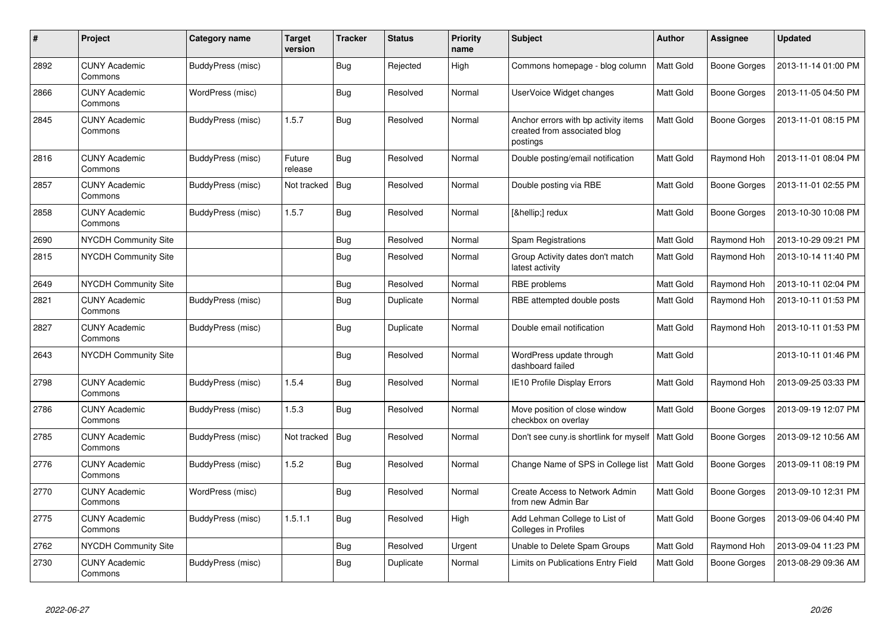| #    | Project                         | Category name     | <b>Target</b><br>version | <b>Tracker</b> | <b>Status</b> | <b>Priority</b><br>name | <b>Subject</b>                                                                   | <b>Author</b>    | Assignee            | <b>Updated</b>      |
|------|---------------------------------|-------------------|--------------------------|----------------|---------------|-------------------------|----------------------------------------------------------------------------------|------------------|---------------------|---------------------|
| 2892 | <b>CUNY Academic</b><br>Commons | BuddyPress (misc) |                          | <b>Bug</b>     | Rejected      | High                    | Commons homepage - blog column                                                   | <b>Matt Gold</b> | <b>Boone Gorges</b> | 2013-11-14 01:00 PM |
| 2866 | <b>CUNY Academic</b><br>Commons | WordPress (misc)  |                          | Bug            | Resolved      | Normal                  | UserVoice Widget changes                                                         | Matt Gold        | Boone Gorges        | 2013-11-05 04:50 PM |
| 2845 | <b>CUNY Academic</b><br>Commons | BuddyPress (misc) | 1.5.7                    | Bug            | Resolved      | Normal                  | Anchor errors with bp activity items<br>created from associated blog<br>postings | Matt Gold        | Boone Gorges        | 2013-11-01 08:15 PM |
| 2816 | <b>CUNY Academic</b><br>Commons | BuddyPress (misc) | Future<br>release        | <b>Bug</b>     | Resolved      | Normal                  | Double posting/email notification                                                | Matt Gold        | Raymond Hoh         | 2013-11-01 08:04 PM |
| 2857 | <b>CUNY Academic</b><br>Commons | BuddyPress (misc) | Not tracked              | Bug            | Resolved      | Normal                  | Double posting via RBE                                                           | Matt Gold        | Boone Gorges        | 2013-11-01 02:55 PM |
| 2858 | <b>CUNY Academic</b><br>Commons | BuddyPress (misc) | 1.5.7                    | Bug            | Resolved      | Normal                  | […] redux                                                                        | Matt Gold        | <b>Boone Gorges</b> | 2013-10-30 10:08 PM |
| 2690 | NYCDH Community Site            |                   |                          | Bug            | Resolved      | Normal                  | Spam Registrations                                                               | Matt Gold        | Raymond Hoh         | 2013-10-29 09:21 PM |
| 2815 | <b>NYCDH Community Site</b>     |                   |                          | <b>Bug</b>     | Resolved      | Normal                  | Group Activity dates don't match<br>latest activity                              | Matt Gold        | Raymond Hoh         | 2013-10-14 11:40 PM |
| 2649 | NYCDH Community Site            |                   |                          | Bug            | Resolved      | Normal                  | RBE problems                                                                     | Matt Gold        | Raymond Hoh         | 2013-10-11 02:04 PM |
| 2821 | <b>CUNY Academic</b><br>Commons | BuddyPress (misc) |                          | <b>Bug</b>     | Duplicate     | Normal                  | RBE attempted double posts                                                       | Matt Gold        | Raymond Hoh         | 2013-10-11 01:53 PM |
| 2827 | <b>CUNY Academic</b><br>Commons | BuddyPress (misc) |                          | Bug            | Duplicate     | Normal                  | Double email notification                                                        | Matt Gold        | Raymond Hoh         | 2013-10-11 01:53 PM |
| 2643 | <b>NYCDH Community Site</b>     |                   |                          | Bug            | Resolved      | Normal                  | WordPress update through<br>dashboard failed                                     | Matt Gold        |                     | 2013-10-11 01:46 PM |
| 2798 | <b>CUNY Academic</b><br>Commons | BuddyPress (misc) | 1.5.4                    | Bug            | Resolved      | Normal                  | IE10 Profile Display Errors                                                      | Matt Gold        | Raymond Hoh         | 2013-09-25 03:33 PM |
| 2786 | <b>CUNY Academic</b><br>Commons | BuddyPress (misc) | 1.5.3                    | <b>Bug</b>     | Resolved      | Normal                  | Move position of close window<br>checkbox on overlay                             | Matt Gold        | Boone Gorges        | 2013-09-19 12:07 PM |
| 2785 | <b>CUNY Academic</b><br>Commons | BuddyPress (misc) | Not tracked              | <b>Bug</b>     | Resolved      | Normal                  | Don't see cuny.is shortlink for myself                                           | <b>Matt Gold</b> | <b>Boone Gorges</b> | 2013-09-12 10:56 AM |
| 2776 | <b>CUNY Academic</b><br>Commons | BuddyPress (misc) | 1.5.2                    | Bug            | Resolved      | Normal                  | Change Name of SPS in College list                                               | Matt Gold        | Boone Gorges        | 2013-09-11 08:19 PM |
| 2770 | <b>CUNY Academic</b><br>Commons | WordPress (misc)  |                          | Bug            | Resolved      | Normal                  | Create Access to Network Admin<br>from new Admin Bar                             | Matt Gold        | Boone Gorges        | 2013-09-10 12:31 PM |
| 2775 | <b>CUNY Academic</b><br>Commons | BuddyPress (misc) | 1.5.1.1                  | Bug            | Resolved      | High                    | Add Lehman College to List of<br><b>Colleges in Profiles</b>                     | Matt Gold        | <b>Boone Gorges</b> | 2013-09-06 04:40 PM |
| 2762 | NYCDH Community Site            |                   |                          | <b>Bug</b>     | Resolved      | Urgent                  | Unable to Delete Spam Groups                                                     | Matt Gold        | Raymond Hoh         | 2013-09-04 11:23 PM |
| 2730 | <b>CUNY Academic</b><br>Commons | BuddyPress (misc) |                          | Bug            | Duplicate     | Normal                  | Limits on Publications Entry Field                                               | Matt Gold        | Boone Gorges        | 2013-08-29 09:36 AM |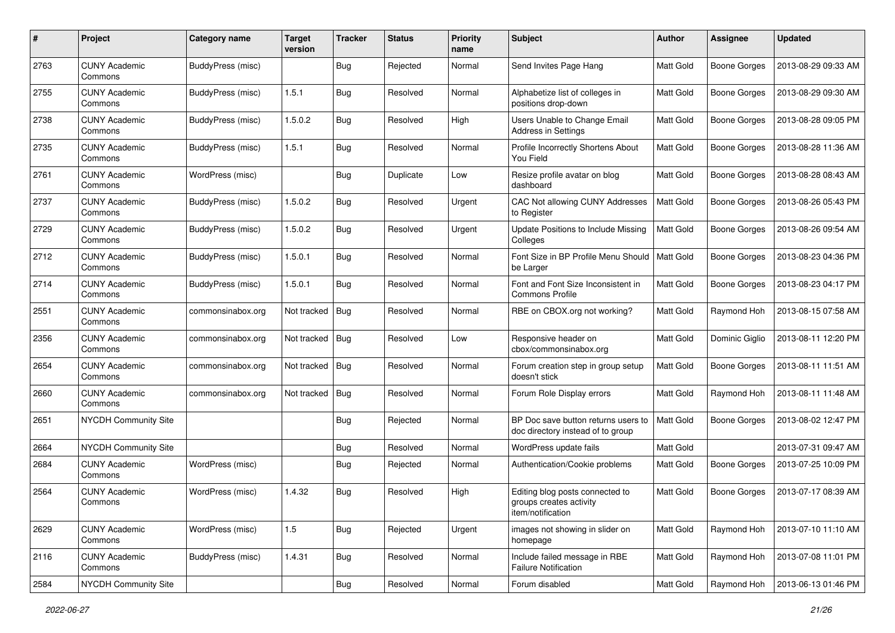| #    | Project                         | Category name            | <b>Target</b><br>version | <b>Tracker</b> | <b>Status</b> | <b>Priority</b><br>name | Subject                                                                         | <b>Author</b>    | <b>Assignee</b>     | <b>Updated</b>      |
|------|---------------------------------|--------------------------|--------------------------|----------------|---------------|-------------------------|---------------------------------------------------------------------------------|------------------|---------------------|---------------------|
| 2763 | <b>CUNY Academic</b><br>Commons | <b>BuddyPress (misc)</b> |                          | Bug            | Rejected      | Normal                  | Send Invites Page Hang                                                          | Matt Gold        | Boone Gorges        | 2013-08-29 09:33 AM |
| 2755 | <b>CUNY Academic</b><br>Commons | BuddyPress (misc)        | 1.5.1                    | <b>Bug</b>     | Resolved      | Normal                  | Alphabetize list of colleges in<br>positions drop-down                          | Matt Gold        | Boone Gorges        | 2013-08-29 09:30 AM |
| 2738 | <b>CUNY Academic</b><br>Commons | BuddyPress (misc)        | 1.5.0.2                  | <b>Bug</b>     | Resolved      | High                    | Users Unable to Change Email<br>Address in Settings                             | Matt Gold        | <b>Boone Gorges</b> | 2013-08-28 09:05 PM |
| 2735 | <b>CUNY Academic</b><br>Commons | BuddyPress (misc)        | 1.5.1                    | Bug            | Resolved      | Normal                  | Profile Incorrectly Shortens About<br>You Field                                 | <b>Matt Gold</b> | Boone Gorges        | 2013-08-28 11:36 AM |
| 2761 | <b>CUNY Academic</b><br>Commons | WordPress (misc)         |                          | <b>Bug</b>     | Duplicate     | Low                     | Resize profile avatar on blog<br>dashboard                                      | <b>Matt Gold</b> | <b>Boone Gorges</b> | 2013-08-28 08:43 AM |
| 2737 | <b>CUNY Academic</b><br>Commons | BuddyPress (misc)        | 1.5.0.2                  | <b>Bug</b>     | Resolved      | Urgent                  | CAC Not allowing CUNY Addresses<br>to Register                                  | Matt Gold        | Boone Gorges        | 2013-08-26 05:43 PM |
| 2729 | <b>CUNY Academic</b><br>Commons | BuddyPress (misc)        | 1.5.0.2                  | Bug            | Resolved      | Urgent                  | Update Positions to Include Missing<br>Colleges                                 | Matt Gold        | <b>Boone Gorges</b> | 2013-08-26 09:54 AM |
| 2712 | <b>CUNY Academic</b><br>Commons | <b>BuddyPress (misc)</b> | 1.5.0.1                  | Bug            | Resolved      | Normal                  | Font Size in BP Profile Menu Should<br>be Larger                                | Matt Gold        | Boone Gorges        | 2013-08-23 04:36 PM |
| 2714 | <b>CUNY Academic</b><br>Commons | BuddyPress (misc)        | 1.5.0.1                  | Bug            | Resolved      | Normal                  | Font and Font Size Inconsistent in<br><b>Commons Profile</b>                    | Matt Gold        | Boone Gorges        | 2013-08-23 04:17 PM |
| 2551 | <b>CUNY Academic</b><br>Commons | commonsinabox.org        | Not tracked              | Bug            | Resolved      | Normal                  | RBE on CBOX.org not working?                                                    | Matt Gold        | Raymond Hoh         | 2013-08-15 07:58 AM |
| 2356 | <b>CUNY Academic</b><br>Commons | commonsinabox.org        | Not tracked              | Bug            | Resolved      | Low                     | Responsive header on<br>cbox/commonsinabox.org                                  | Matt Gold        | Dominic Giglio      | 2013-08-11 12:20 PM |
| 2654 | <b>CUNY Academic</b><br>Commons | commonsinabox.org        | Not tracked              | Bug            | Resolved      | Normal                  | Forum creation step in group setup<br>doesn't stick                             | <b>Matt Gold</b> | Boone Gorges        | 2013-08-11 11:51 AM |
| 2660 | <b>CUNY Academic</b><br>Commons | commonsinabox.org        | Not tracked              | Bug            | Resolved      | Normal                  | Forum Role Display errors                                                       | Matt Gold        | Raymond Hoh         | 2013-08-11 11:48 AM |
| 2651 | <b>NYCDH Community Site</b>     |                          |                          | Bug            | Rejected      | Normal                  | BP Doc save button returns users to<br>doc directory instead of to group        | Matt Gold        | <b>Boone Gorges</b> | 2013-08-02 12:47 PM |
| 2664 | NYCDH Community Site            |                          |                          | Bug            | Resolved      | Normal                  | WordPress update fails                                                          | Matt Gold        |                     | 2013-07-31 09:47 AM |
| 2684 | <b>CUNY Academic</b><br>Commons | WordPress (misc)         |                          | Bug            | Rejected      | Normal                  | Authentication/Cookie problems                                                  | Matt Gold        | <b>Boone Gorges</b> | 2013-07-25 10:09 PM |
| 2564 | <b>CUNY Academic</b><br>Commons | WordPress (misc)         | 1.4.32                   | Bug            | Resolved      | High                    | Editing blog posts connected to<br>groups creates activity<br>item/notification | Matt Gold        | <b>Boone Gorges</b> | 2013-07-17 08:39 AM |
| 2629 | <b>CUNY Academic</b><br>Commons | WordPress (misc)         | 1.5                      | <b>Bug</b>     | Rejected      | Urgent                  | images not showing in slider on<br>homepage                                     | Matt Gold        | Raymond Hoh         | 2013-07-10 11:10 AM |
| 2116 | <b>CUNY Academic</b><br>Commons | BuddyPress (misc)        | 1.4.31                   | <b>Bug</b>     | Resolved      | Normal                  | Include failed message in RBE<br><b>Failure Notification</b>                    | Matt Gold        | Raymond Hoh         | 2013-07-08 11:01 PM |
| 2584 | NYCDH Community Site            |                          |                          | <b>Bug</b>     | Resolved      | Normal                  | Forum disabled                                                                  | Matt Gold        | Raymond Hoh         | 2013-06-13 01:46 PM |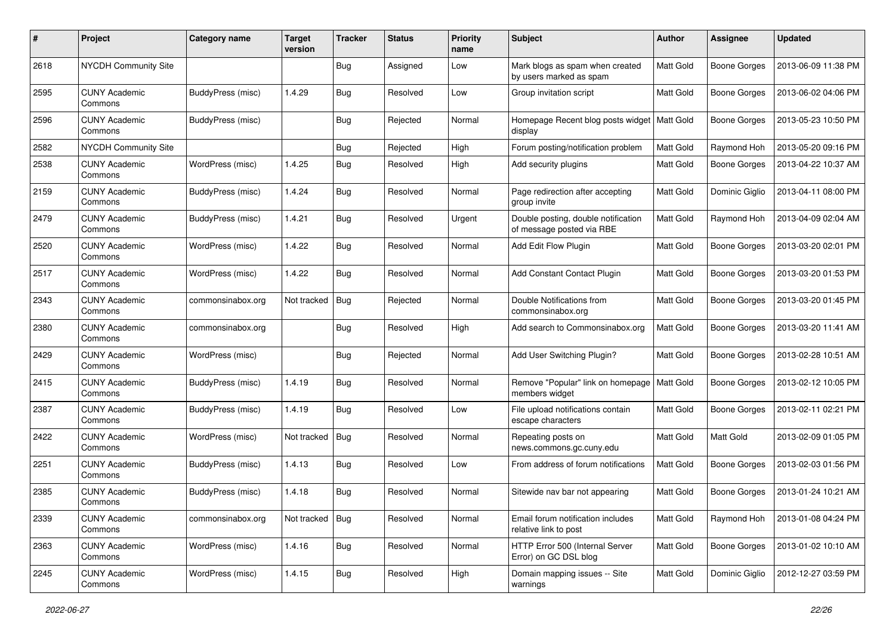| #    | Project                         | Category name     | <b>Target</b><br>version | <b>Tracker</b> | <b>Status</b> | <b>Priority</b><br>name | <b>Subject</b>                                                   | Author           | <b>Assignee</b>     | <b>Updated</b>      |
|------|---------------------------------|-------------------|--------------------------|----------------|---------------|-------------------------|------------------------------------------------------------------|------------------|---------------------|---------------------|
| 2618 | <b>NYCDH Community Site</b>     |                   |                          | Bug            | Assigned      | Low                     | Mark blogs as spam when created<br>by users marked as spam       | Matt Gold        | <b>Boone Gorges</b> | 2013-06-09 11:38 PM |
| 2595 | <b>CUNY Academic</b><br>Commons | BuddyPress (misc) | 1.4.29                   | <b>Bug</b>     | Resolved      | Low                     | Group invitation script                                          | Matt Gold        | Boone Gorges        | 2013-06-02 04:06 PM |
| 2596 | <b>CUNY Academic</b><br>Commons | BuddyPress (misc) |                          | <b>Bug</b>     | Rejected      | Normal                  | Homepage Recent blog posts widget<br>display                     | Matt Gold        | Boone Gorges        | 2013-05-23 10:50 PM |
| 2582 | <b>NYCDH Community Site</b>     |                   |                          | <b>Bug</b>     | Rejected      | High                    | Forum posting/notification problem                               | <b>Matt Gold</b> | Raymond Hoh         | 2013-05-20 09:16 PM |
| 2538 | <b>CUNY Academic</b><br>Commons | WordPress (misc)  | 1.4.25                   | <b>Bug</b>     | Resolved      | High                    | Add security plugins                                             | Matt Gold        | Boone Gorges        | 2013-04-22 10:37 AM |
| 2159 | <b>CUNY Academic</b><br>Commons | BuddyPress (misc) | 1.4.24                   | Bug            | Resolved      | Normal                  | Page redirection after accepting<br>group invite                 | Matt Gold        | Dominic Giglio      | 2013-04-11 08:00 PM |
| 2479 | <b>CUNY Academic</b><br>Commons | BuddyPress (misc) | 1.4.21                   | Bug            | Resolved      | Urgent                  | Double posting, double notification<br>of message posted via RBE | Matt Gold        | Raymond Hoh         | 2013-04-09 02:04 AM |
| 2520 | <b>CUNY Academic</b><br>Commons | WordPress (misc)  | 1.4.22                   | Bug            | Resolved      | Normal                  | Add Edit Flow Plugin                                             | Matt Gold        | <b>Boone Gorges</b> | 2013-03-20 02:01 PM |
| 2517 | <b>CUNY Academic</b><br>Commons | WordPress (misc)  | 1.4.22                   | <b>Bug</b>     | Resolved      | Normal                  | Add Constant Contact Plugin                                      | Matt Gold        | Boone Gorges        | 2013-03-20 01:53 PM |
| 2343 | <b>CUNY Academic</b><br>Commons | commonsinabox.org | Not tracked              | Bug            | Rejected      | Normal                  | Double Notifications from<br>commonsinabox.org                   | Matt Gold        | <b>Boone Gorges</b> | 2013-03-20 01:45 PM |
| 2380 | <b>CUNY Academic</b><br>Commons | commonsinabox.org |                          | <b>Bug</b>     | Resolved      | High                    | Add search to Commonsinabox.org                                  | <b>Matt Gold</b> | Boone Gorges        | 2013-03-20 11:41 AM |
| 2429 | <b>CUNY Academic</b><br>Commons | WordPress (misc)  |                          | <b>Bug</b>     | Rejected      | Normal                  | Add User Switching Plugin?                                       | Matt Gold        | <b>Boone Gorges</b> | 2013-02-28 10:51 AM |
| 2415 | <b>CUNY Academic</b><br>Commons | BuddyPress (misc) | 1.4.19                   | Bug            | Resolved      | Normal                  | Remove "Popular" link on homepage<br>members widget              | Matt Gold        | <b>Boone Gorges</b> | 2013-02-12 10:05 PM |
| 2387 | <b>CUNY Academic</b><br>Commons | BuddyPress (misc) | 1.4.19                   | Bug            | Resolved      | Low                     | File upload notifications contain<br>escape characters           | Matt Gold        | Boone Gorges        | 2013-02-11 02:21 PM |
| 2422 | <b>CUNY Academic</b><br>Commons | WordPress (misc)  | Not tracked              | Bug            | Resolved      | Normal                  | Repeating posts on<br>news.commons.gc.cuny.edu                   | Matt Gold        | Matt Gold           | 2013-02-09 01:05 PM |
| 2251 | <b>CUNY Academic</b><br>Commons | BuddyPress (misc) | 1.4.13                   | Bug            | Resolved      | Low                     | From address of forum notifications                              | Matt Gold        | Boone Gorges        | 2013-02-03 01:56 PM |
| 2385 | <b>CUNY Academic</b><br>Commons | BuddyPress (misc) | 1.4.18                   | Bug            | Resolved      | Normal                  | Sitewide nav bar not appearing                                   | Matt Gold        | <b>Boone Gorges</b> | 2013-01-24 10:21 AM |
| 2339 | <b>CUNY Academic</b><br>Commons | commonsinabox.org | Not tracked   Bug        |                | Resolved      | Normal                  | Email forum notification includes<br>relative link to post       | Matt Gold        | Raymond Hoh         | 2013-01-08 04:24 PM |
| 2363 | <b>CUNY Academic</b><br>Commons | WordPress (misc)  | 1.4.16                   | <b>Bug</b>     | Resolved      | Normal                  | HTTP Error 500 (Internal Server<br>Error) on GC DSL blog         | Matt Gold        | Boone Gorges        | 2013-01-02 10:10 AM |
| 2245 | <b>CUNY Academic</b><br>Commons | WordPress (misc)  | 1.4.15                   | <b>Bug</b>     | Resolved      | High                    | Domain mapping issues -- Site<br>warnings                        | Matt Gold        | Dominic Giglio      | 2012-12-27 03:59 PM |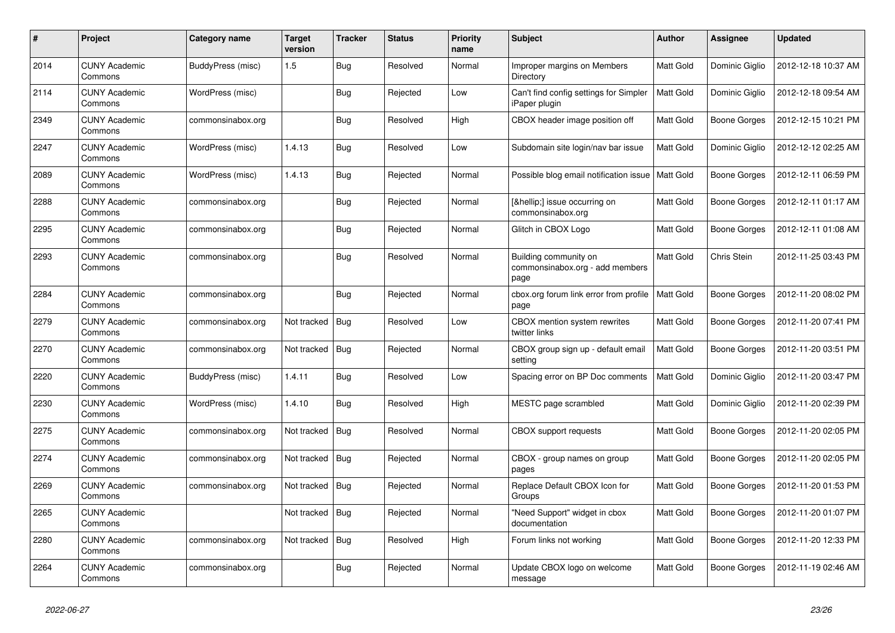| $\#$ | Project                         | Category name     | <b>Target</b><br>version | <b>Tracker</b> | <b>Status</b> | <b>Priority</b><br>name | <b>Subject</b>                                                   | <b>Author</b>    | Assignee            | <b>Updated</b>      |
|------|---------------------------------|-------------------|--------------------------|----------------|---------------|-------------------------|------------------------------------------------------------------|------------------|---------------------|---------------------|
| 2014 | <b>CUNY Academic</b><br>Commons | BuddyPress (misc) | 1.5                      | Bug            | Resolved      | Normal                  | Improper margins on Members<br>Directory                         | Matt Gold        | Dominic Giglio      | 2012-12-18 10:37 AM |
| 2114 | <b>CUNY Academic</b><br>Commons | WordPress (misc)  |                          | Bug            | Rejected      | Low                     | Can't find config settings for Simpler<br>iPaper plugin          | Matt Gold        | Dominic Giglio      | 2012-12-18 09:54 AM |
| 2349 | <b>CUNY Academic</b><br>Commons | commonsinabox.org |                          | Bug            | Resolved      | High                    | CBOX header image position off                                   | Matt Gold        | Boone Gorges        | 2012-12-15 10:21 PM |
| 2247 | <b>CUNY Academic</b><br>Commons | WordPress (misc)  | 1.4.13                   | Bug            | Resolved      | Low                     | Subdomain site login/nav bar issue                               | <b>Matt Gold</b> | Dominic Giglio      | 2012-12-12 02:25 AM |
| 2089 | <b>CUNY Academic</b><br>Commons | WordPress (misc)  | 1.4.13                   | <b>Bug</b>     | Rejected      | Normal                  | Possible blog email notification issue                           | <b>Matt Gold</b> | Boone Gorges        | 2012-12-11 06:59 PM |
| 2288 | <b>CUNY Academic</b><br>Commons | commonsinabox.org |                          | Bug            | Rejected      | Normal                  | […] issue occurring on<br>commonsinabox.org                      | Matt Gold        | Boone Gorges        | 2012-12-11 01:17 AM |
| 2295 | <b>CUNY Academic</b><br>Commons | commonsinabox.org |                          | Bug            | Rejected      | Normal                  | Glitch in CBOX Logo                                              | Matt Gold        | Boone Gorges        | 2012-12-11 01:08 AM |
| 2293 | <b>CUNY Academic</b><br>Commons | commonsinabox.org |                          | <b>Bug</b>     | Resolved      | Normal                  | Building community on<br>commonsinabox.org - add members<br>page | <b>Matt Gold</b> | Chris Stein         | 2012-11-25 03:43 PM |
| 2284 | <b>CUNY Academic</b><br>Commons | commonsinabox.org |                          | Bug            | Rejected      | Normal                  | cbox.org forum link error from profile<br>page                   | Matt Gold        | Boone Gorges        | 2012-11-20 08:02 PM |
| 2279 | <b>CUNY Academic</b><br>Commons | commonsinabox.org | Not tracked              | Bug            | Resolved      | Low                     | CBOX mention system rewrites<br>twitter links                    | Matt Gold        | <b>Boone Gorges</b> | 2012-11-20 07:41 PM |
| 2270 | <b>CUNY Academic</b><br>Commons | commonsinabox.org | Not tracked              | <b>Bug</b>     | Rejected      | Normal                  | CBOX group sign up - default email<br>setting                    | Matt Gold        | Boone Gorges        | 2012-11-20 03:51 PM |
| 2220 | <b>CUNY Academic</b><br>Commons | BuddyPress (misc) | 1.4.11                   | Bug            | Resolved      | Low                     | Spacing error on BP Doc comments                                 | Matt Gold        | Dominic Giglio      | 2012-11-20 03:47 PM |
| 2230 | <b>CUNY Academic</b><br>Commons | WordPress (misc)  | 1.4.10                   | Bug            | Resolved      | High                    | MESTC page scrambled                                             | Matt Gold        | Dominic Giglio      | 2012-11-20 02:39 PM |
| 2275 | <b>CUNY Academic</b><br>Commons | commonsinabox.org | Not tracked              | Bug            | Resolved      | Normal                  | <b>CBOX</b> support requests                                     | Matt Gold        | Boone Gorges        | 2012-11-20 02:05 PM |
| 2274 | <b>CUNY Academic</b><br>Commons | commonsinabox.org | Not tracked              | Bug            | Rejected      | Normal                  | CBOX - group names on group<br>pages                             | <b>Matt Gold</b> | Boone Gorges        | 2012-11-20 02:05 PM |
| 2269 | <b>CUNY Academic</b><br>Commons | commonsinabox.org | Not tracked              | Bug            | Rejected      | Normal                  | Replace Default CBOX Icon for<br>Groups                          | Matt Gold        | Boone Gorges        | 2012-11-20 01:53 PM |
| 2265 | <b>CUNY Academic</b><br>Commons |                   | Not tracked              | <b>Bug</b>     | Rejected      | Normal                  | "Need Support" widget in cbox<br>documentation                   | Matt Gold        | Boone Gorges        | 2012-11-20 01:07 PM |
| 2280 | <b>CUNY Academic</b><br>Commons | commonsinabox.org | Not tracked              | Bug            | Resolved      | High                    | Forum links not working                                          | Matt Gold        | Boone Gorges        | 2012-11-20 12:33 PM |
| 2264 | <b>CUNY Academic</b><br>Commons | commonsinabox.org |                          | Bug            | Rejected      | Normal                  | Update CBOX logo on welcome<br>message                           | Matt Gold        | <b>Boone Gorges</b> | 2012-11-19 02:46 AM |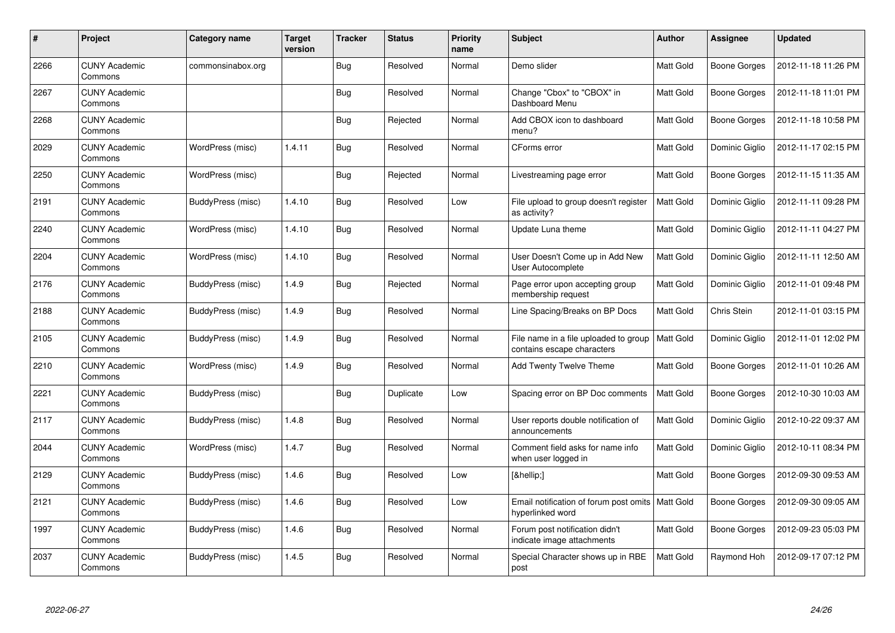| $\#$ | Project                         | <b>Category name</b> | <b>Target</b><br>version | <b>Tracker</b> | <b>Status</b> | <b>Priority</b><br>name | <b>Subject</b>                                                         | Author           | <b>Assignee</b>     | <b>Updated</b>      |
|------|---------------------------------|----------------------|--------------------------|----------------|---------------|-------------------------|------------------------------------------------------------------------|------------------|---------------------|---------------------|
| 2266 | <b>CUNY Academic</b><br>Commons | commonsinabox.org    |                          | Bug            | Resolved      | Normal                  | Demo slider                                                            | Matt Gold        | Boone Gorges        | 2012-11-18 11:26 PM |
| 2267 | <b>CUNY Academic</b><br>Commons |                      |                          | <b>Bug</b>     | Resolved      | Normal                  | Change "Cbox" to "CBOX" in<br>Dashboard Menu                           | Matt Gold        | Boone Gorges        | 2012-11-18 11:01 PM |
| 2268 | <b>CUNY Academic</b><br>Commons |                      |                          | <b>Bug</b>     | Rejected      | Normal                  | Add CBOX icon to dashboard<br>menu?                                    | Matt Gold        | <b>Boone Gorges</b> | 2012-11-18 10:58 PM |
| 2029 | <b>CUNY Academic</b><br>Commons | WordPress (misc)     | 1.4.11                   | Bug            | Resolved      | Normal                  | CForms error                                                           | Matt Gold        | Dominic Giglio      | 2012-11-17 02:15 PM |
| 2250 | <b>CUNY Academic</b><br>Commons | WordPress (misc)     |                          | <b>Bug</b>     | Rejected      | Normal                  | Livestreaming page error                                               | <b>Matt Gold</b> | <b>Boone Gorges</b> | 2012-11-15 11:35 AM |
| 2191 | <b>CUNY Academic</b><br>Commons | BuddyPress (misc)    | 1.4.10                   | <b>Bug</b>     | Resolved      | Low                     | File upload to group doesn't register<br>as activity?                  | Matt Gold        | Dominic Giglio      | 2012-11-11 09:28 PM |
| 2240 | <b>CUNY Academic</b><br>Commons | WordPress (misc)     | 1.4.10                   | Bug            | Resolved      | Normal                  | Update Luna theme                                                      | <b>Matt Gold</b> | Dominic Giglio      | 2012-11-11 04:27 PM |
| 2204 | <b>CUNY Academic</b><br>Commons | WordPress (misc)     | 1.4.10                   | Bug            | Resolved      | Normal                  | User Doesn't Come up in Add New<br>User Autocomplete                   | Matt Gold        | Dominic Giglio      | 2012-11-11 12:50 AM |
| 2176 | <b>CUNY Academic</b><br>Commons | BuddyPress (misc)    | 1.4.9                    | <b>Bug</b>     | Rejected      | Normal                  | Page error upon accepting group<br>membership request                  | Matt Gold        | Dominic Giglio      | 2012-11-01 09:48 PM |
| 2188 | <b>CUNY Academic</b><br>Commons | BuddyPress (misc)    | 1.4.9                    | Bug            | Resolved      | Normal                  | Line Spacing/Breaks on BP Docs                                         | Matt Gold        | Chris Stein         | 2012-11-01 03:15 PM |
| 2105 | <b>CUNY Academic</b><br>Commons | BuddyPress (misc)    | 1.4.9                    | Bug            | Resolved      | Normal                  | File name in a file uploaded to group<br>contains escape characters    | <b>Matt Gold</b> | Dominic Giglio      | 2012-11-01 12:02 PM |
| 2210 | <b>CUNY Academic</b><br>Commons | WordPress (misc)     | 1.4.9                    | <b>Bug</b>     | Resolved      | Normal                  | Add Twenty Twelve Theme                                                | Matt Gold        | Boone Gorges        | 2012-11-01 10:26 AM |
| 2221 | <b>CUNY Academic</b><br>Commons | BuddyPress (misc)    |                          | <b>Bug</b>     | Duplicate     | Low                     | Spacing error on BP Doc comments                                       | <b>Matt Gold</b> | Boone Gorges        | 2012-10-30 10:03 AM |
| 2117 | <b>CUNY Academic</b><br>Commons | BuddyPress (misc)    | 1.4.8                    | Bug            | Resolved      | Normal                  | User reports double notification of<br>announcements                   | <b>Matt Gold</b> | Dominic Giglio      | 2012-10-22 09:37 AM |
| 2044 | <b>CUNY Academic</b><br>Commons | WordPress (misc)     | 1.4.7                    | Bug            | Resolved      | Normal                  | Comment field asks for name info<br>when user logged in                | Matt Gold        | Dominic Giglio      | 2012-10-11 08:34 PM |
| 2129 | <b>CUNY Academic</b><br>Commons | BuddyPress (misc)    | 1.4.6                    | <b>Bug</b>     | Resolved      | Low                     | […]                                                                    | <b>Matt Gold</b> | Boone Gorges        | 2012-09-30 09:53 AM |
| 2121 | <b>CUNY Academic</b><br>Commons | BuddyPress (misc)    | 1.4.6                    | Bug            | Resolved      | Low                     | Email notification of forum post omits   Matt Gold<br>hyperlinked word |                  | Boone Gorges        | 2012-09-30 09:05 AM |
| 1997 | <b>CUNY Academic</b><br>Commons | BuddyPress (misc)    | 1.4.6                    | <b>Bug</b>     | Resolved      | Normal                  | Forum post notification didn't<br>indicate image attachments           | Matt Gold        | Boone Gorges        | 2012-09-23 05:03 PM |
| 2037 | <b>CUNY Academic</b><br>Commons | BuddyPress (misc)    | 1.4.5                    | Bug            | Resolved      | Normal                  | Special Character shows up in RBE<br>post                              | Matt Gold        | Raymond Hoh         | 2012-09-17 07:12 PM |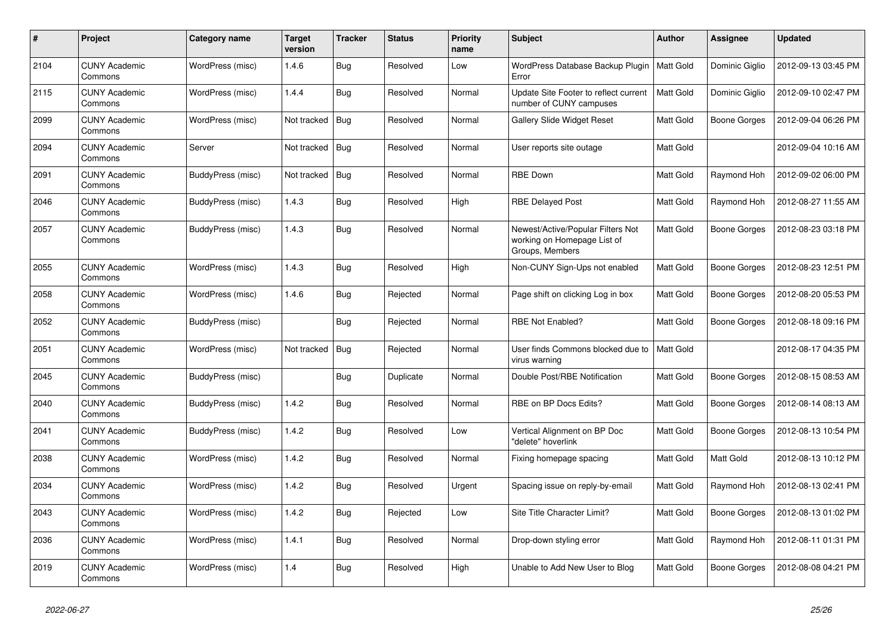| $\pmb{\#}$ | Project                         | Category name     | <b>Target</b><br>version | <b>Tracker</b> | <b>Status</b> | <b>Priority</b><br>name | <b>Subject</b>                                                                      | <b>Author</b>    | Assignee            | <b>Updated</b>      |
|------------|---------------------------------|-------------------|--------------------------|----------------|---------------|-------------------------|-------------------------------------------------------------------------------------|------------------|---------------------|---------------------|
| 2104       | <b>CUNY Academic</b><br>Commons | WordPress (misc)  | 1.4.6                    | Bug            | Resolved      | Low                     | WordPress Database Backup Plugin<br>Error                                           | <b>Matt Gold</b> | Dominic Giglio      | 2012-09-13 03:45 PM |
| 2115       | <b>CUNY Academic</b><br>Commons | WordPress (misc)  | 1.4.4                    | <b>Bug</b>     | Resolved      | Normal                  | Update Site Footer to reflect current<br>number of CUNY campuses                    | <b>Matt Gold</b> | Dominic Giglio      | 2012-09-10 02:47 PM |
| 2099       | <b>CUNY Academic</b><br>Commons | WordPress (misc)  | Not tracked              | <b>Bug</b>     | Resolved      | Normal                  | <b>Gallery Slide Widget Reset</b>                                                   | Matt Gold        | Boone Gorges        | 2012-09-04 06:26 PM |
| 2094       | <b>CUNY Academic</b><br>Commons | Server            | Not tracked              | <b>Bug</b>     | Resolved      | Normal                  | User reports site outage                                                            | Matt Gold        |                     | 2012-09-04 10:16 AM |
| 2091       | <b>CUNY Academic</b><br>Commons | BuddyPress (misc) | Not tracked              | Bug            | Resolved      | Normal                  | <b>RBE Down</b>                                                                     | Matt Gold        | Raymond Hoh         | 2012-09-02 06:00 PM |
| 2046       | <b>CUNY Academic</b><br>Commons | BuddyPress (misc) | 1.4.3                    | Bug            | Resolved      | High                    | <b>RBE Delayed Post</b>                                                             | Matt Gold        | Raymond Hoh         | 2012-08-27 11:55 AM |
| 2057       | <b>CUNY Academic</b><br>Commons | BuddyPress (misc) | 1.4.3                    | Bug            | Resolved      | Normal                  | Newest/Active/Popular Filters Not<br>working on Homepage List of<br>Groups, Members | Matt Gold        | Boone Gorges        | 2012-08-23 03:18 PM |
| 2055       | <b>CUNY Academic</b><br>Commons | WordPress (misc)  | 1.4.3                    | Bug            | Resolved      | High                    | Non-CUNY Sign-Ups not enabled                                                       | Matt Gold        | Boone Gorges        | 2012-08-23 12:51 PM |
| 2058       | <b>CUNY Academic</b><br>Commons | WordPress (misc)  | 1.4.6                    | Bug            | Rejected      | Normal                  | Page shift on clicking Log in box                                                   | Matt Gold        | Boone Gorges        | 2012-08-20 05:53 PM |
| 2052       | <b>CUNY Academic</b><br>Commons | BuddyPress (misc) |                          | <b>Bug</b>     | Rejected      | Normal                  | <b>RBE Not Enabled?</b>                                                             | Matt Gold        | Boone Gorges        | 2012-08-18 09:16 PM |
| 2051       | <b>CUNY Academic</b><br>Commons | WordPress (misc)  | Not tracked              | <b>Bug</b>     | Rejected      | Normal                  | User finds Commons blocked due to<br>virus warning                                  | <b>Matt Gold</b> |                     | 2012-08-17 04:35 PM |
| 2045       | <b>CUNY Academic</b><br>Commons | BuddyPress (misc) |                          | <b>Bug</b>     | Duplicate     | Normal                  | Double Post/RBE Notification                                                        | Matt Gold        | <b>Boone Gorges</b> | 2012-08-15 08:53 AM |
| 2040       | <b>CUNY Academic</b><br>Commons | BuddyPress (misc) | 1.4.2                    | <b>Bug</b>     | Resolved      | Normal                  | RBE on BP Docs Edits?                                                               | Matt Gold        | Boone Gorges        | 2012-08-14 08:13 AM |
| 2041       | <b>CUNY Academic</b><br>Commons | BuddyPress (misc) | 1.4.2                    | Bug            | Resolved      | Low                     | Vertical Alignment on BP Doc<br>'delete" hoverlink                                  | Matt Gold        | Boone Gorges        | 2012-08-13 10:54 PM |
| 2038       | <b>CUNY Academic</b><br>Commons | WordPress (misc)  | 1.4.2                    | Bug            | Resolved      | Normal                  | Fixing homepage spacing                                                             | Matt Gold        | <b>Matt Gold</b>    | 2012-08-13 10:12 PM |
| 2034       | <b>CUNY Academic</b><br>Commons | WordPress (misc)  | 1.4.2                    | Bug            | Resolved      | Urgent                  | Spacing issue on reply-by-email                                                     | Matt Gold        | Raymond Hoh         | 2012-08-13 02:41 PM |
| 2043       | <b>CUNY Academic</b><br>Commons | WordPress (misc)  | 1.4.2                    | Bug            | Rejected      | Low                     | Site Title Character Limit?                                                         | Matt Gold        | Boone Gorges        | 2012-08-13 01:02 PM |
| 2036       | <b>CUNY Academic</b><br>Commons | WordPress (misc)  | 1.4.1                    | Bug            | Resolved      | Normal                  | Drop-down styling error                                                             | Matt Gold        | Raymond Hoh         | 2012-08-11 01:31 PM |
| 2019       | <b>CUNY Academic</b><br>Commons | WordPress (misc)  | 1.4                      | <b>Bug</b>     | Resolved      | High                    | Unable to Add New User to Blog                                                      | Matt Gold        | Boone Gorges        | 2012-08-08 04:21 PM |